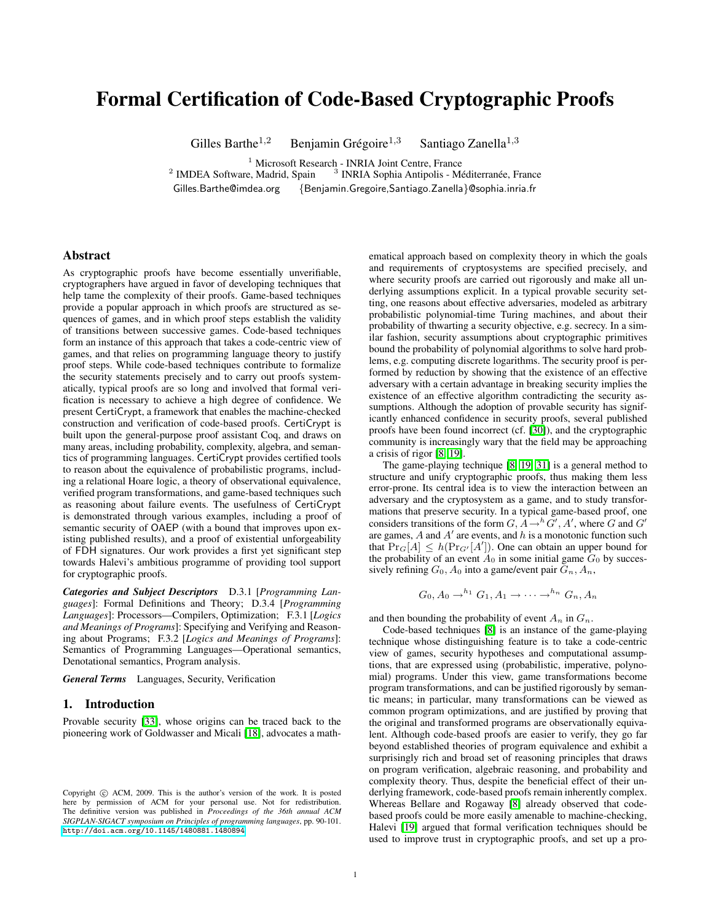# **Formal Certification of Code-Based Cryptographic Proofs**

Gilles Barthe<sup>1,2</sup> Benjamin Grégoire<sup>1,3</sup> Santiago Zanella<sup>1,3</sup>

<sup>1</sup> Microsoft Research - INRIA Joint Centre, France  $2$  IMDEA Software, Madrid, Spain  $3$  $^3$  INRIA Sophia Antipolis - Méditerranée, France Gilles.Barthe@imdea.org {Benjamin.Gregoire,Santiago.Zanella}@sophia.inria.fr

**Abstract**

As cryptographic proofs have become essentially unverifiable, cryptographers have argued in favor of developing techniques that help tame the complexity of their proofs. Game-based techniques provide a popular approach in which proofs are structured as sequences of games, and in which proof steps establish the validity of transitions between successive games. Code-based techniques form an instance of this approach that takes a code-centric view of games, and that relies on programming language theory to justify proof steps. While code-based techniques contribute to formalize the security statements precisely and to carry out proofs systematically, typical proofs are so long and involved that formal verification is necessary to achieve a high degree of confidence. We present CertiCrypt, a framework that enables the machine-checked construction and verification of code-based proofs. CertiCrypt is built upon the general-purpose proof assistant Coq, and draws on many areas, including probability, complexity, algebra, and semantics of programming languages. CertiCrypt provides certified tools to reason about the equivalence of probabilistic programs, including a relational Hoare logic, a theory of observational equivalence, verified program transformations, and game-based techniques such as reasoning about failure events. The usefulness of CertiCrypt is demonstrated through various examples, including a proof of semantic security of OAEP (with a bound that improves upon existing published results), and a proof of existential unforgeability of FDH signatures. Our work provides a first yet significant step towards Halevi's ambitious programme of providing tool support for cryptographic proofs.

*Categories and Subject Descriptors* D.3.1 [*Programming Languages*]: Formal Definitions and Theory; D.3.4 [*Programming Languages*]: Processors—Compilers, Optimization; F.3.1 [*Logics and Meanings of Programs*]: Specifying and Verifying and Reasoning about Programs; F.3.2 [*Logics and Meanings of Programs*]: Semantics of Programming Languages—Operational semantics, Denotational semantics, Program analysis.

*General Terms* Languages, Security, Verification

## **1. Introduction**

Provable security [\[33\]](#page-11-0), whose origins can be traced back to the pioneering work of Goldwasser and Micali [\[18\]](#page-11-1), advocates a mathematical approach based on complexity theory in which the goals and requirements of cryptosystems are specified precisely, and where security proofs are carried out rigorously and make all underlying assumptions explicit. In a typical provable security setting, one reasons about effective adversaries, modeled as arbitrary probabilistic polynomial-time Turing machines, and about their probability of thwarting a security objective, e.g. secrecy. In a similar fashion, security assumptions about cryptographic primitives bound the probability of polynomial algorithms to solve hard problems, e.g. computing discrete logarithms. The security proof is performed by reduction by showing that the existence of an effective adversary with a certain advantage in breaking security implies the existence of an effective algorithm contradicting the security assumptions. Although the adoption of provable security has significantly enhanced confidence in security proofs, several published proofs have been found incorrect (cf. [\[30\]](#page-11-2)), and the cryptographic community is increasingly wary that the field may be approaching a crisis of rigor [\[8,](#page-11-3) [19\]](#page-11-4).

The game-playing technique [\[8,](#page-11-3) [19,](#page-11-4) [31\]](#page-11-5) is a general method to structure and unify cryptographic proofs, thus making them less error-prone. Its central idea is to view the interaction between an adversary and the cryptosystem as a game, and to study transformations that preserve security. In a typical game-based proof, one considers transitions of the form  $G, \tilde{A} \rightarrow^h \tilde{G}', A'$ , where G and G' are games,  $A$  and  $A'$  are events, and  $h$  is a monotonic function such that  $Pr_G[A] \leq h(Pr_{G'}[A'])$ . One can obtain an upper bound for the probability of an event  $A_0$  in some initial game  $G_0$  by successively refining  $G_0$ ,  $A_0$  into a game/event pair  $G_n$ ,  $A_n$ ,

$$
G_0, A_0 \to^{h_1} G_1, A_1 \to \cdots \to^{h_n} G_n, A_n
$$

and then bounding the probability of event  $A_n$  in  $G_n$ .

Code-based techniques [\[8\]](#page-11-3) is an instance of the game-playing technique whose distinguishing feature is to take a code-centric view of games, security hypotheses and computational assumptions, that are expressed using (probabilistic, imperative, polynomial) programs. Under this view, game transformations become program transformations, and can be justified rigorously by semantic means; in particular, many transformations can be viewed as common program optimizations, and are justified by proving that the original and transformed programs are observationally equivalent. Although code-based proofs are easier to verify, they go far beyond established theories of program equivalence and exhibit a surprisingly rich and broad set of reasoning principles that draws on program verification, algebraic reasoning, and probability and complexity theory. Thus, despite the beneficial effect of their underlying framework, code-based proofs remain inherently complex. Whereas Bellare and Rogaway [\[8\]](#page-11-3) already observed that codebased proofs could be more easily amenable to machine-checking, Halevi [\[19\]](#page-11-4) argued that formal verification techniques should be used to improve trust in cryptographic proofs, and set up a pro-

Copyright  $\odot$  ACM, 2009. This is the author's version of the work. It is posted here by permission of ACM for your personal use. Not for redistribution. The definitive version was published in *Proceedings of the 36th annual ACM SIGPLAN-SIGACT symposium on Principles of programming languages*, pp. 90-101. <http://doi.acm.org/10.1145/1480881.1480894>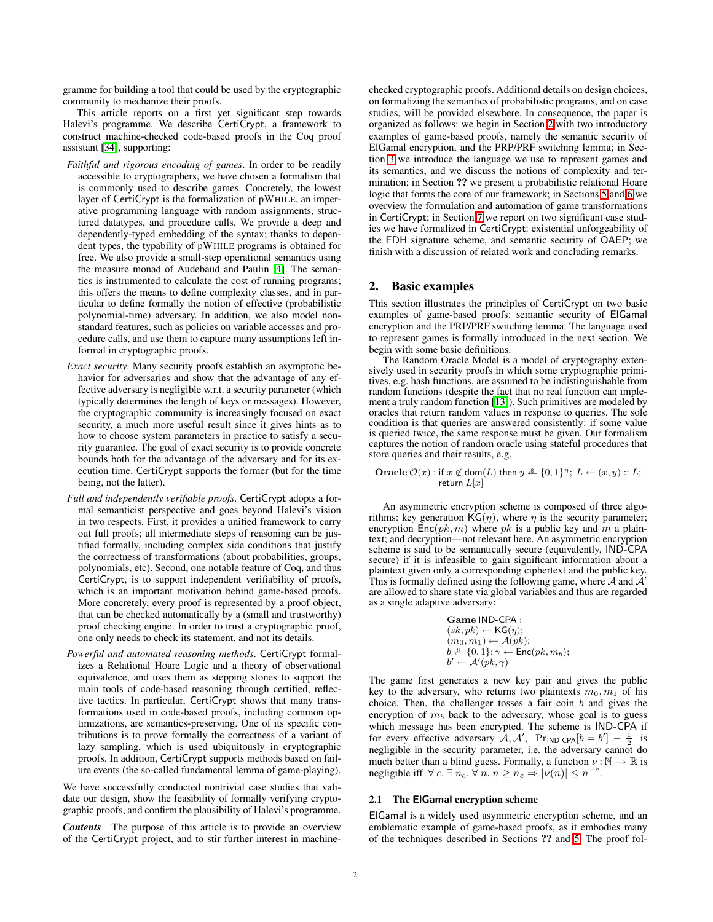gramme for building a tool that could be used by the cryptographic community to mechanize their proofs.

This article reports on a first yet significant step towards Halevi's programme. We describe CertiCrypt, a framework to construct machine-checked code-based proofs in the Coq proof assistant [\[34\]](#page-11-6), supporting:

- *Faithful and rigorous encoding of games*. In order to be readily accessible to cryptographers, we have chosen a formalism that is commonly used to describe games. Concretely, the lowest layer of CertiCrypt is the formalization of pWHILE, an imperative programming language with random assignments, structured datatypes, and procedure calls. We provide a deep and dependently-typed embedding of the syntax; thanks to dependent types, the typability of pWHILE programs is obtained for free. We also provide a small-step operational semantics using the measure monad of Audebaud and Paulin [\[4\]](#page-11-7). The semantics is instrumented to calculate the cost of running programs; this offers the means to define complexity classes, and in particular to define formally the notion of effective (probabilistic polynomial-time) adversary. In addition, we also model nonstandard features, such as policies on variable accesses and procedure calls, and use them to capture many assumptions left informal in cryptographic proofs.
- *Exact security*. Many security proofs establish an asymptotic behavior for adversaries and show that the advantage of any effective adversary is negligible w.r.t. a security parameter (which typically determines the length of keys or messages). However, the cryptographic community is increasingly focused on exact security, a much more useful result since it gives hints as to how to choose system parameters in practice to satisfy a security guarantee. The goal of exact security is to provide concrete bounds both for the advantage of the adversary and for its execution time. CertiCrypt supports the former (but for the time being, not the latter).
- *Full and independently verifiable proofs*. CertiCrypt adopts a formal semanticist perspective and goes beyond Halevi's vision in two respects. First, it provides a unified framework to carry out full proofs; all intermediate steps of reasoning can be justified formally, including complex side conditions that justify the correctness of transformations (about probabilities, groups, polynomials, etc). Second, one notable feature of Coq, and thus CertiCrypt, is to support independent verifiability of proofs, which is an important motivation behind game-based proofs. More concretely, every proof is represented by a proof object, that can be checked automatically by a (small and trustworthy) proof checking engine. In order to trust a cryptographic proof, one only needs to check its statement, and not its details.
- *Powerful and automated reasoning methods*. CertiCrypt formalizes a Relational Hoare Logic and a theory of observational equivalence, and uses them as stepping stones to support the main tools of code-based reasoning through certified, reflective tactics. In particular, CertiCrypt shows that many transformations used in code-based proofs, including common optimizations, are semantics-preserving. One of its specific contributions is to prove formally the correctness of a variant of lazy sampling, which is used ubiquitously in cryptographic proofs. In addition, CertiCrypt supports methods based on failure events (the so-called fundamental lemma of game-playing).

We have successfully conducted nontrivial case studies that validate our design, show the feasibility of formally verifying cryptographic proofs, and confirm the plausibility of Halevi's programme.

*Contents* The purpose of this article is to provide an overview of the CertiCrypt project, and to stir further interest in machinechecked cryptographic proofs. Additional details on design choices, on formalizing the semantics of probabilistic programs, and on case studies, will be provided elsewhere. In consequence, the paper is organized as follows: we begin in Section [2](#page-1-0) with two introductory examples of game-based proofs, namely the semantic security of ElGamal encryption, and the PRP/PRF switching lemma; in Section [3](#page-3-0) we introduce the language we use to represent games and its semantics, and we discuss the notions of complexity and termination; in Section **??** we present a probabilistic relational Hoare logic that forms the core of our framework; in Sections [5](#page-7-0) and [6](#page-9-0) we overview the formulation and automation of game transformations in CertiCrypt; in Section [7](#page-9-1) we report on two significant case studies we have formalized in CertiCrypt: existential unforgeability of the FDH signature scheme, and semantic security of OAEP; we finish with a discussion of related work and concluding remarks.

# <span id="page-1-0"></span>**2. Basic examples**

This section illustrates the principles of CertiCrypt on two basic examples of game-based proofs: semantic security of ElGamal encryption and the PRP/PRF switching lemma. The language used to represent games is formally introduced in the next section. We begin with some basic definitions.

The Random Oracle Model is a model of cryptography extensively used in security proofs in which some cryptographic primitives, e.g. hash functions, are assumed to be indistinguishable from random functions (despite the fact that no real function can implement a truly random function [\[13\]](#page-11-8)). Such primitives are modeled by oracles that return random values in response to queries. The sole condition is that queries are answered consistently: if some value is queried twice, the same response must be given. Our formalism captures the notion of random oracle using stateful procedures that store queries and their results, e.g.

Oracle  $\mathcal{O}(x)$  : if  $x \notin \text{dom}(L)$  then  $y \triangleq \{0,1\}^{\eta}$ ;  $L \leftarrow (x, y) :: L$ ; return  $L[x]$ 

An asymmetric encryption scheme is composed of three algorithms: key generation  $\widehat{KG}(\eta)$ , where  $\eta$  is the security parameter; encryption  $Enc(pk, m)$  where pk is a public key and m a plaintext; and decryption—not relevant here. An asymmetric encryption scheme is said to be semantically secure (equivalently, IND-CPA secure) if it is infeasible to gain significant information about a plaintext given only a corresponding ciphertext and the public key. This is formally defined using the following game, where  $A$  and  $A'$ are allowed to share state via global variables and thus are regarded as a single adaptive adversary:

**Game** IND-CPA :  
\n
$$
(sk, pk) \leftarrow \text{KG}(\eta)
$$
;  
\n $(m_0, m_1) \leftarrow \mathcal{A}(pk)$ ;  
\n $b \triangleq \{0, 1\}; \gamma \leftarrow \text{Enc}(pk, m_b)$ ;  
\n $b' \leftarrow \mathcal{A}'(pk, \gamma)$ 

The game first generates a new key pair and gives the public key to the adversary, who returns two plaintexts  $m_0, m_1$  of his choice. Then, the challenger tosses a fair coin  $b$  and gives the encryption of  $m_b$  back to the adversary, whose goal is to guess which message has been encrypted. The scheme is IND-CPA if for every effective adversary  $\mathcal{A}, \mathcal{A}', \; |{\rm Pr}_{\text{IND-CPA}}[b=b'] - \frac{1}{2} |$  is negligible in the security parameter, i.e. the adversary cannot do much better than a blind guess. Formally, a function  $\nu : \mathbb{N} \to \mathbb{R}$  is negligible iff  $\forall c. \exists n_c. \forall n. n \geq n_c \Rightarrow |\nu(n)| \leq n^{-c}$ .

#### **2.1 The** ElGamal **encryption scheme**

ElGamal is a widely used asymmetric encryption scheme, and an emblematic example of game-based proofs, as it embodies many of the techniques described in Sections **??** and [5.](#page-7-0) The proof fol-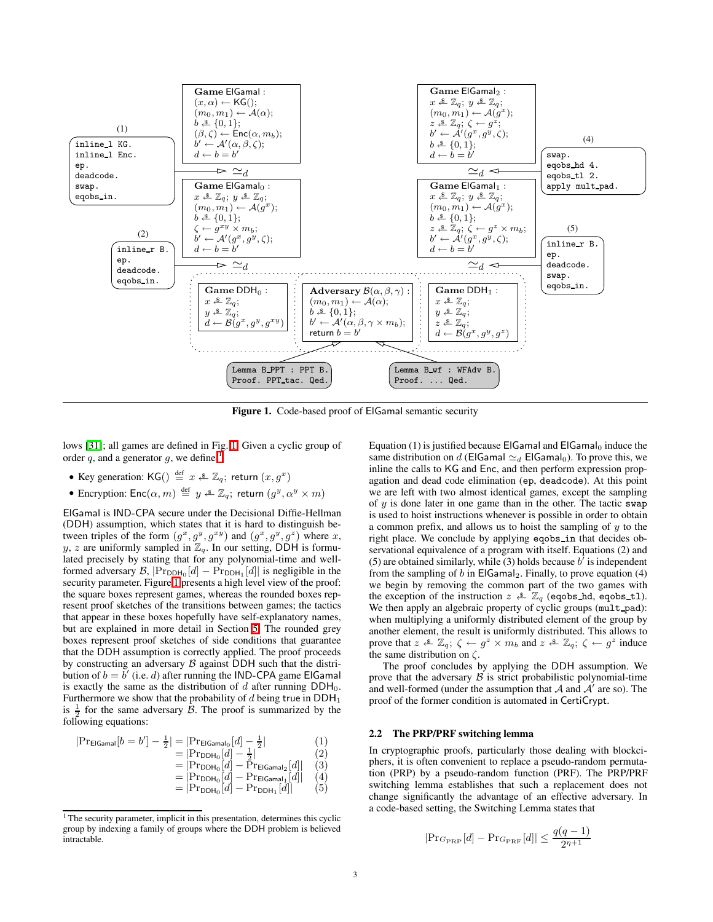

<span id="page-2-0"></span>**Figure 1.** Code-based proof of ElGamal semantic security

lows [\[31\]](#page-11-5); all games are defined in Fig. [1.](#page-2-0) Given a cyclic group of order q, and a generator q, we define:

- Key generation: KG()  $\stackrel{\text{def}}{=} x \stackrel{\ast}{\cdot} \mathbb{Z}_q$ ; return  $(x,g^x)$
- Encryption: Enc $(\alpha, m) \stackrel{\rm def}{=} y \, \stackrel{\rm def}{=} \, \mathbb{Z}_q;$  return  $(g^y, \alpha^y \times m)$

ElGamal is IND-CPA secure under the Decisional Diffie-Hellman (DDH) assumption, which states that it is hard to distinguish between triples of the form  $(g^x, g^y, g^{xy})$  and  $(g^x, g^y, g^z)$  where x, y, z are uniformly sampled in  $\mathbb{Z}_q$ . In our setting, DDH is formulated precisely by stating that for any polynomial-time and wellformed adversary  $\mathcal{B}$ ,  $|\text{Proph}_0[d] - \text{Proph}_1[d]|$  is negligible in the security parameter. Figure [1](#page-2-0) presents a high level view of the proof: the square boxes represent games, whereas the rounded boxes represent proof sketches of the transitions between games; the tactics that appear in these boxes hopefully have self-explanatory names, but are explained in more detail in Section [5.](#page-7-0) The rounded grey boxes represent proof sketches of side conditions that guarantee that the DDH assumption is correctly applied. The proof proceeds by constructing an adversary  $\beta$  against DDH such that the distribution of  $b = b'$  (i.e. d) after running the IND-CPA game ElGamal is exactly the same as the distribution of  $d$  after running  $DDH_0$ . Furthermore we show that the probability of  $d$  being true in  $DDH_1$ is  $\frac{1}{2}$  for the same adversary  $\tilde{B}$ . The proof is summarized by the following equations:

$$
|\Pr_{\text{ElGamal}}[b = b'] - \frac{1}{2}| = |\Pr_{\text{ElGamal}_0}[d] - \frac{1}{2}|
$$
(1)  
=  $|\Pr_{\text{DDH}_0}[d] - \frac{1}{2}|$ (2)  
=  $|\Pr_{\text{DDH}_0}[d] - \Pr_{\text{ElGamal}_2}[d]|$ (3)  
=  $|\Pr_{\text{DDH}_0}[d] - \Pr_{\text{ElGamal}_1}[d]|$ (4)  
=  $|\Pr_{\text{DDH}_0}[d] - \Pr_{\text{DDH}_1}[d]|$ (5)

Equation (1) is justified because ElGamal and ElGamal<sub>0</sub> induce the same distribution on d (ElGamal  $\simeq_d$  ElGamal<sub>0</sub>). To prove this, we inline the calls to KG and Enc, and then perform expression propagation and dead code elimination (ep, deadcode). At this point we are left with two almost identical games, except the sampling of  $y$  is done later in one game than in the other. The tactic swap is used to hoist instructions whenever is possible in order to obtain a common prefix, and allows us to hoist the sampling of  $y$  to the right place. We conclude by applying eqobs in that decides observational equivalence of a program with itself. Equations (2) and (5) are obtained similarly, while (3) holds because  $b^7$  is independent from the sampling of b in  $E[Gamal_2]$ . Finally, to prove equation (4) we begin by removing the common part of the two games with the exception of the instruction  $z \triangleq \mathbb{Z}_q$  (eqobs hd, eqobs tl). We then apply an algebraic property of cyclic groups (mult\_pad): when multiplying a uniformly distributed element of the group by another element, the result is uniformly distributed. This allows to prove that  $z \triangleq \mathbb{Z}_q$ ;  $\zeta \leftarrow g^z \times m_b$  and  $z \triangleq \mathbb{Z}_q$ ;  $\zeta \leftarrow g^z$  induce the same distribution on  $\zeta$ .

The proof concludes by applying the DDH assumption. We prove that the adversary  $\beta$  is strict probabilistic polynomial-time and well-formed (under the assumption that  $A$  and  $A'$  are so). The proof of the former condition is automated in CertiCrypt.

#### <span id="page-2-2"></span>**2.2 The PRP/PRF switching lemma**

In cryptographic proofs, particularly those dealing with blockciphers, it is often convenient to replace a pseudo-random permutation (PRP) by a pseudo-random function (PRF). The PRP/PRF switching lemma establishes that such a replacement does not change significantly the advantage of an effective adversary. In a code-based setting, the Switching Lemma states that

$$
|\mathrm{Pr}_{G_{\mathrm{PRP}}}[d] - \mathrm{Pr}_{G_{\mathrm{PRF}}}[d]| \le \frac{q(q-1)}{2^{n+1}}
$$

<span id="page-2-1"></span><sup>&</sup>lt;sup>1</sup> The security parameter, implicit in this presentation, determines this cyclic group by indexing a family of groups where the DDH problem is believed intractable.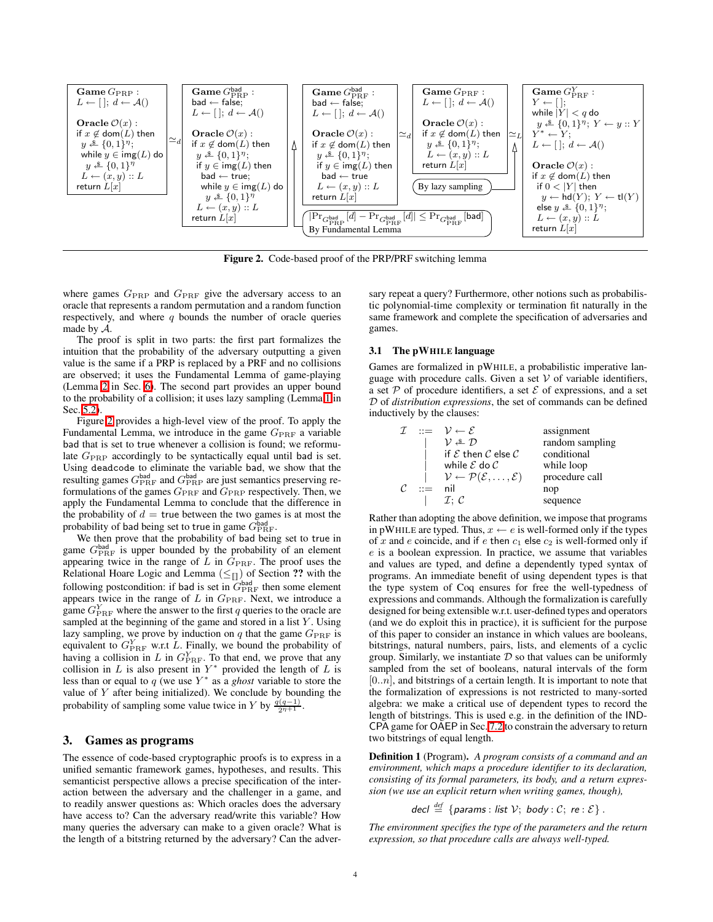≃<sup>d</sup> ≃<sup>d</sup> ≃<sup>L</sup> Game G<sup>Y</sup> PRF : Y ← [ ]; while |Y | < q do y ←\$ {0, 1} <sup>η</sup>; Y ← y :: Y Y <sup>∗</sup> ← Y ; L ← [ ]; d ← A() Oracle O(x) : if x 6∈ dom(L) then if 0 < |Y | then y ← hd(Y ); Y ← tl(Y ) else y ←\$ {0, 1} η; L ← (x, y) :: L return L[x] Game Gbad PRP : bad ← false; L ← [ ]; d ← A() Oracle O(x) : if x 6∈ dom(L) then y ←\$ {0, 1} η; if y ∈ img(L) then bad ← true; while y ∈ img(L) do y ←\$ {0, 1} η L ← (x, y) :: L return L[x] Game GPRP : L ← [ ]; d ← A() Oracle O(x) : if x 6∈ dom(L) then y ←\$ {0, 1} η; while y ∈ img(L) do y ←\$ {0, 1} η L ← (x, y) :: L return L[x] Game Gbad PRF : bad ← false; L ← [ ]; d ← A() Oracle O(x) : if x 6∈ dom(L) then y ←\$ {0, 1} η; if y ∈ img(L) then bad ← true L ← (x, y) :: L return L[x] Game GPRF : L ← [ ]; d ← A() Oracle O(x) : if x 6∈ dom(L) then y ←\$ {0, 1} η; L ← (x, y) :: L return L[x] By lazy sampling |PrGbad PRP [d] − PrGbad PRF [d]| ≤ PrGbad PRF [bad] By Fundamental Lemma

<span id="page-3-1"></span>**Figure 2.** Code-based proof of the PRP/PRF switching lemma

where games  $G_{\rm PRP}$  and  $G_{\rm PRF}$  give the adversary access to an oracle that represents a random permutation and a random function respectively, and where  $q$  bounds the number of oracle queries made by A.

The proof is split in two parts: the first part formalizes the intuition that the probability of the adversary outputting a given value is the same if a PRP is replaced by a PRF and no collisions are observed; it uses the Fundamental Lemma of game-playing (Lemma [2](#page-9-2) in Sec. [6\)](#page-9-0). The second part provides an upper bound to the probability of a collision; it uses lazy sampling (Lemma [1](#page-8-0) in Sec. [5.2\)](#page-8-1).

Figure [2](#page-3-1) provides a high-level view of the proof. To apply the Fundamental Lemma, we introduce in the game  $G_{\text{PRF}}$  a variable bad that is set to true whenever a collision is found; we reformulate  $G_{\text{PRP}}$  accordingly to be syntactically equal until bad is set. Using deadcode to eliminate the variable bad, we show that the resulting games  $G_{\rm PRF}^{\rm bad}$  and  $G_{\rm PRP}^{\rm bad}$  are just semantics preserving reformulations of the games  $G_{\text{PRF}}$  and  $G_{\text{PRP}}$  respectively. Then, we apply the Fundamental Lemma to conclude that the difference in the probability of  $d = \text{true}$  between the two games is at most the probability of bad being set to true in game  $G^{\texttt{bad}}_{\texttt{PRF}}$ .

We then prove that the probability of bad being set to true in game  $G_{\text{PRF}}^{\text{bad}}$  is upper bounded by the probability of an element appearing twice in the range of  $L$  in  $G_{\text{PRF}}$ . The proof uses the Relational Hoare Logic and Lemma  $(\leq_{\mathbb{I}})$  of Section ?? with the following postcondition: if bad is set in  $G_{\text{PRF}}^{\text{bad}}$  then some element appears twice in the range of  $L$  in  $G_{\text{PRF}}$ . Next, we introduce a game  $G_{\text{PRF}}^{Y}$  where the answer to the first q queries to the oracle are sampled at the beginning of the game and stored in a list  $Y$ . Using lazy sampling, we prove by induction on  $q$  that the game  $G_{\text{PRF}}$  is equivalent to  $G_{\text{PRF}}^{Y}$  w.r.t L. Finally, we bound the probability of having a collision in L in  $G_{\rm PRF}^Y$ . To that end, we prove that any collision in  $L$  is also present in  $Y^*$  provided the length of  $L$  is less than or equal to  $q$  (we use  $Y^*$  as a *ghost* variable to store the value of  $Y$  after being initialized). We conclude by bounding the probability of sampling some value twice in Y by  $\frac{q(q-1)}{2^{n+1}}$ .

## <span id="page-3-0"></span>**3. Games as programs**

The essence of code-based cryptographic proofs is to express in a unified semantic framework games, hypotheses, and results. This semanticist perspective allows a precise specification of the interaction between the adversary and the challenger in a game, and to readily answer questions as: Which oracles does the adversary have access to? Can the adversary read/write this variable? How many queries the adversary can make to a given oracle? What is the length of a bitstring returned by the adversary? Can the adver-

sary repeat a query? Furthermore, other notions such as probabilistic polynomial-time complexity or termination fit naturally in the same framework and complete the specification of adversaries and games.

## **3.1 The pWHILE language**

Games are formalized in pWHILE, a probabilistic imperative language with procedure calls. Given a set  $V$  of variable identifiers, a set  $P$  of procedure identifiers, a set  $E$  of expressions, and a set D of *distribution expressions*, the set of commands can be defined inductively by the clauses:

| $\mathcal{I}$ | ::= | $\mathcal{V} \leftarrow \mathcal{E}$ | assignment<br>random sampling<br>if $\mathcal{E}$ then $\mathcal{C}$ else $\mathcal{C}$ | conditional<br>while $\mathcal{E}$ do $\mathcal{C}$ | while loop<br>$\mathcal{V} \leftarrow \mathcal{P}(\mathcal{E}, \ldots, \mathcal{E})$ | procedure call<br>nop<br>sequence |
|---------------|-----|--------------------------------------|-----------------------------------------------------------------------------------------|-----------------------------------------------------|--------------------------------------------------------------------------------------|-----------------------------------|
|---------------|-----|--------------------------------------|-----------------------------------------------------------------------------------------|-----------------------------------------------------|--------------------------------------------------------------------------------------|-----------------------------------|

Rather than adopting the above definition, we impose that programs in pWHILE are typed. Thus,  $x \leftarrow e$  is well-formed only if the types of x and e coincide, and if e then  $c_1$  else  $c_2$  is well-formed only if e is a boolean expression. In practice, we assume that variables and values are typed, and define a dependently typed syntax of programs. An immediate benefit of using dependent types is that the type system of Coq ensures for free the well-typedness of expressions and commands. Although the formalization is carefully designed for being extensible w.r.t. user-defined types and operators (and we do exploit this in practice), it is sufficient for the purpose of this paper to consider an instance in which values are booleans, bitstrings, natural numbers, pairs, lists, and elements of a cyclic group. Similarly, we instantiate  $D$  so that values can be uniformly sampled from the set of booleans, natural intervals of the form  $[0..n]$ , and bitstrings of a certain length. It is important to note that the formalization of expressions is not restricted to many-sorted algebra: we make a critical use of dependent types to record the length of bitstrings. This is used e.g. in the definition of the IND-CPA game for OAEP in Sec. [7.2](#page-10-0) to constrain the adversary to return two bitstrings of equal length.

**Definition 1** (Program)**.** *A program consists of a command and an environment, which maps a procedure identifier to its declaration, consisting of its formal parameters, its body, and a return expression (we use an explicit* return *when writing games, though),*

 $\mathsf{decl} \stackrel{\mathit{def}}{=} \{\mathit{params} : \mathit{list} \ \mathcal{V}; \ \mathit{body} : \mathcal{C}; \ \mathit{re} : \mathcal{E}\} \ .$ 

*The environment specifies the type of the parameters and the return expression, so that procedure calls are always well-typed.*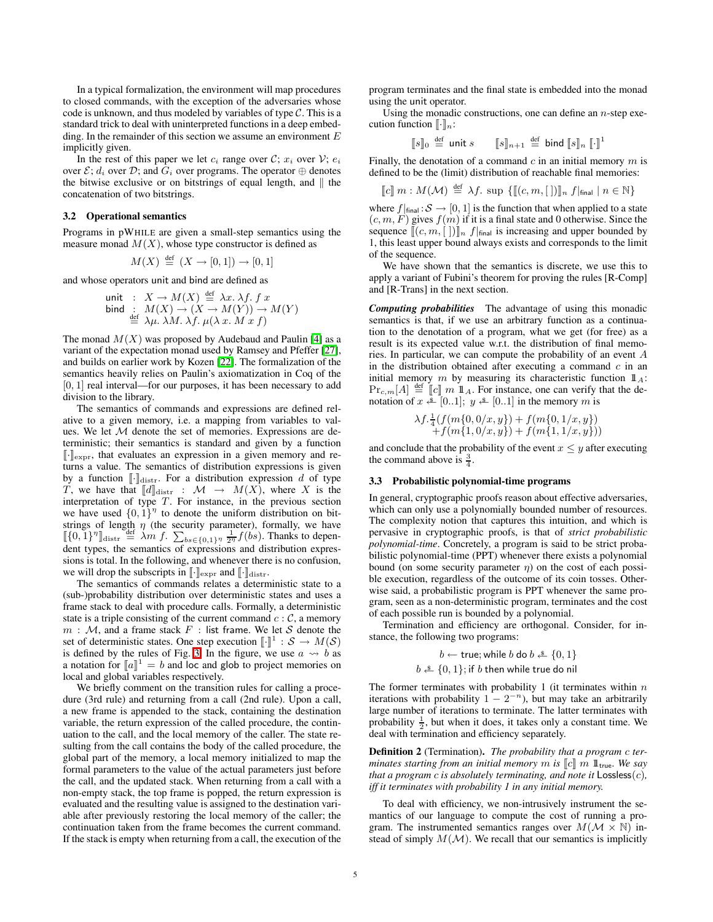In a typical formalization, the environment will map procedures to closed commands, with the exception of the adversaries whose code is unknown, and thus modeled by variables of type  $C$ . This is a standard trick to deal with uninterpreted functions in a deep embedding. In the remainder of this section we assume an environment  $E$ implicitly given.

In the rest of this paper we let  $c_i$  range over C;  $x_i$  over V;  $e_i$ over  $\mathcal{E}$ ;  $d_i$  over  $\mathcal{D}$ ; and  $G_i$  over programs. The operator  $\oplus$  denotes the bitwise exclusive or on bitstrings of equal length, and  $\parallel$  the concatenation of two bitstrings.

## **3.2 Operational semantics**

Programs in pWHILE are given a small-step semantics using the measure monad  $M(X)$ , whose type constructor is defined as

$$
M(X) \stackrel{\text{def}}{=} (X \to [0,1]) \to [0,1]
$$

and whose operators unit and bind are defined as

$$
\begin{array}{rl} \mathsf{unit} &\colon& X \to M(X) \stackrel{\mathrm{def}}{=} \lambda x. \; \lambda f. \; f \; x \\ \mathsf{bind} &\colon& M(X) \to (X \to M(Y)) \to M(Y) \\ \stackrel{\mathrm{def}}{=} & \lambda \mu. \; \lambda M. \; \lambda f. \; \mu(\lambda \; x. \; M \; x \; f) \end{array}
$$

The monad  $M(X)$  was proposed by Audebaud and Paulin [\[4\]](#page-11-7) as a variant of the expectation monad used by Ramsey and Pfeffer [\[27\]](#page-11-9), and builds on earlier work by Kozen [\[22\]](#page-11-10). The formalization of the semantics heavily relies on Paulin's axiomatization in Coq of the  $[0, 1]$  real interval—for our purposes, it has been necessary to add division to the library.

The semantics of commands and expressions are defined relative to a given memory, i.e. a mapping from variables to values. We let  $M$  denote the set of memories. Expressions are deterministic; their semantics is standard and given by a function  $\lbrack \cdot \rbrack_{\rm expr}$ , that evaluates an expression in a given memory and returns a value. The semantics of distribution expressions is given by a function  $\lceil \cdot \rceil_{\text{distr}}$ . For a distribution expression d of type T, we have that  $[[d]]_{\text{distr}}$  :  $\mathcal{M} \rightarrow M(X)$ , where X is the interpretation of type T. For instance, in the previous section we have used  $\{0, 1\}^{\eta}$  to denote the uniform distribution on bitstrings of length  $\eta$  (the security parameter), formally, we have  $\llbracket \{0,1\}^{\eta} \rrbracket_{\text{distr}} \stackrel{\text{def}}{=} \lambda m f. \sum_{bs \in \{0,1\}^{\eta}} \frac{1}{2^{\eta}} f(\text{bs}).$  Thanks to dependent types, the semantics of expressions and distribution expressions is total. In the following, and whenever there is no confusion, we will drop the subscripts in  $\llbracket \cdot \rrbracket_{\text{expr}}$  and  $\llbracket \cdot \rrbracket_{\text{distr}}$ .

The semantics of commands relates a deterministic state to a (sub-)probability distribution over deterministic states and uses a frame stack to deal with procedure calls. Formally, a deterministic state is a triple consisting of the current command  $c : \mathcal{C}$ , a memory  $m$ : M, and a frame stack F : list frame. We let S denote the set of deterministic states. One step execution  $\llbracket \cdot \rrbracket^1 : \mathcal{S} \to M(\mathcal{S})$ is defined by the rules of Fig. [3.](#page-5-0) In the figure, we use  $a \rightsquigarrow b$  as a notation for  $\llbracket a \rrbracket^1 = b$  and loc and glob to project memories on local and global variables respectively.

We briefly comment on the transition rules for calling a procedure (3rd rule) and returning from a call (2nd rule). Upon a call, a new frame is appended to the stack, containing the destination variable, the return expression of the called procedure, the continuation to the call, and the local memory of the caller. The state resulting from the call contains the body of the called procedure, the global part of the memory, a local memory initialized to map the formal parameters to the value of the actual parameters just before the call, and the updated stack. When returning from a call with a non-empty stack, the top frame is popped, the return expression is evaluated and the resulting value is assigned to the destination variable after previously restoring the local memory of the caller; the continuation taken from the frame becomes the current command. If the stack is empty when returning from a call, the execution of the program terminates and the final state is embedded into the monad using the unit operator.

Using the monadic constructions, one can define an  $n$ -step execution function  $\lbrack \cdot \rbrack_n$ :

$$
[\![s]\!]_0 \stackrel{\text{def}}{=} \text{unit } s \qquad [\![s]\!]_{n+1} \stackrel{\text{def}}{=} \text{bind } [\![s]\!]_n [\![\cdot]\!]^1
$$

Finally, the denotation of a command  $c$  in an initial memory  $m$  is defined to be the (limit) distribution of reachable final memories:

 $\llbracket c \rrbracket m : M(\mathcal{M}) \stackrel{\text{def}}{=} \lambda f. \text{ sup } \{ \llbracket (c, m, [\ ]) \rrbracket_n f|_{\text{final}} \mid n \in \mathbb{N} \}$ 

where  $f|_{\text{final}} : \mathcal{S} \to [0, 1]$  is the function that when applied to a state  $(c, m, F)$  gives  $f(m)$  if it is a final state and 0 otherwise. Since the sequence  $[(c, m, [])]_n$  f  $|_{\text{final}}$  is increasing and upper bounded by 1, this least upper bound always exists and corresponds to the limit of the sequence.

We have shown that the semantics is discrete, we use this to apply a variant of Fubini's theorem for proving the rules [R-Comp] and [R-Trans] in the next section.

*Computing probabilities* The advantage of using this monadic semantics is that, if we use an arbitrary function as a continuation to the denotation of a program, what we get (for free) as a result is its expected value w.r.t. the distribution of final memories. In particular, we can compute the probability of an event A in the distribution obtained after executing a command  $c$  in an initial memory  $m$  by measuring its characteristic function  $1\!\!1_A$ :  $\Pr_{c,m}[A] \stackrel{\text{def}}{=} [c] \; m \; 1\!\!1_A$ . For instance, one can verify that the denotation of  $x \triangleq [0..1]$ ;  $y \triangleq [0..1]$  in the memory m is

$$
\lambda f \cdot \frac{1}{4}(f(m\{0,0/x,y\}) + f(m\{0,1/x,y\})+f(m\{1,0/x,y\}) + f(m\{1,1/x,y\}))
$$

and conclude that the probability of the event  $x \leq y$  after executing the command above is  $\frac{3}{4}$ .

#### <span id="page-4-0"></span>**3.3 Probabilistic polynomial-time programs**

In general, cryptographic proofs reason about effective adversaries, which can only use a polynomially bounded number of resources. The complexity notion that captures this intuition, and which is pervasive in cryptographic proofs, is that of *strict probabilistic polynomial-time*. Concretely, a program is said to be strict probabilistic polynomial-time (PPT) whenever there exists a polynomial bound (on some security parameter  $\eta$ ) on the cost of each possible execution, regardless of the outcome of its coin tosses. Otherwise said, a probabilistic program is PPT whenever the same program, seen as a non-deterministic program, terminates and the cost of each possible run is bounded by a polynomial.

Termination and efficiency are orthogonal. Consider, for instance, the following two programs:

$$
b \leftarrow \text{true}; \text{while } b \text{ do } b \stackrel{\text{g}}{\leftarrow} \{0, 1\}
$$
  

$$
b \stackrel{\text{g}}{\leftarrow} \{0, 1\}; \text{if } b \text{ then while true do nil}
$$

The former terminates with probability 1 (it terminates within  $n$ iterations with probability  $1 - 2^{-n}$ ), but may take an arbitrarily large number of iterations to terminate. The latter terminates with probability  $\frac{1}{2}$ , but when it does, it takes only a constant time. We deal with termination and efficiency separately.

**Definition 2** (Termination)**.** *The probability that a program* c *terminates starting from an initial memory* m *is*  $\llbracket c \rrbracket$  m  $\mathbb{1}_{true}$ *. We say that a program* c *is absolutely terminating, and note it* Lossless(c)*, iff it terminates with probability 1 in any initial memory.*

To deal with efficiency, we non-intrusively instrument the semantics of our language to compute the cost of running a program. The instrumented semantics ranges over  $M(M \times N)$  instead of simply  $M(\mathcal{M})$ . We recall that our semantics is implicitly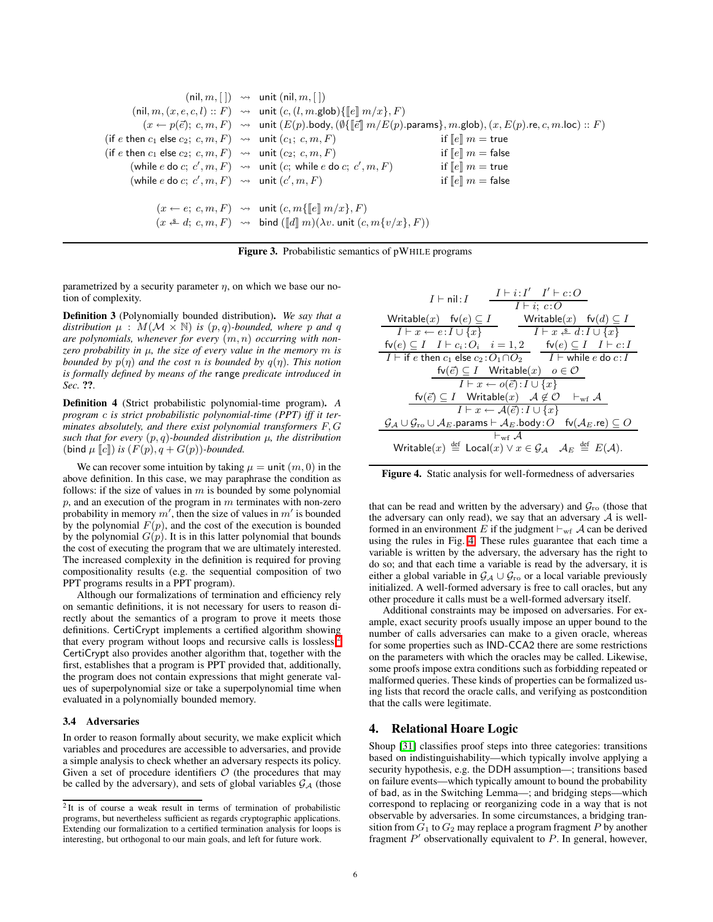$$
\begin{array}{cccc} (\mathsf{nil},m,[\,]) & \leadsto & \mathsf{unit}\ (\mathsf{nil},m,[\,]) \\ & (\mathsf{nil},m,(x,e,c,l)::F) & \leadsto & \mathsf{unit}\ (c,(l,m.\mathsf{glob})\{\llbracket e \rrbracket\ m/x\},F) \\ & (x \leftarrow p(\vec{e});\,c,m,F) & \leadsto & \mathsf{unit}\ (E(p).\mathsf{body},(\emptyset\{\llbracket \vec{e} \rrbracket\ m/E(p).\mathsf{params}\},m.\mathsf{glob}), (x,E(p).\mathsf{re},c,m.\mathsf{loc})::F) \\ & (\text{if } e \text{ then } c_1 \text{ else } c_2;\ c,m,F) & \leadsto & \mathsf{unit}\ (c_1;\,c,m,F) & \text{if } \llbracket e \rrbracket\ m=\mathsf{true} \\ & (\text{while } e \text{ do } c;\ c',m,F) & \leadsto & \mathsf{unit}\ (c;\ \text{while } e \text{ do } c;\ c',m,F) & \text{if } \llbracket e \rrbracket\ m=\mathsf{false} \\ & (\text{while } e \text{ do } c;\ c',m,F) & \leadsto & \mathsf{unit}\ (c',m,F) & \text{if } \llbracket e \rrbracket\ m=\mathsf{false} \\ & (x \leftarrow e;\ c,m,F) & \leadsto & \mathsf{unit}\ (c,m\{\llbracket e \rrbracket\ m/x\},F) \\ & (x \triangleq d;\ c,m,F) & \leadsto & \mathsf{bind}\ (\llbracket d \rrbracket\ m)(\lambda v.\ \text{unit}\ (c,m\{\nu/x\},F)) \end{array}
$$

<span id="page-5-0"></span>**Figure 3.** Probabilistic semantics of pWHILE programs

parametrized by a security parameter  $\eta$ , on which we base our notion of complexity.

**Definition 3** (Polynomially bounded distribution)**.** *We say that a distribution*  $\mu$  :  $M(M \times N)$  *is*  $(p, q)$ *-bounded, where p and q are polynomials, whenever for every* (m, n) *occurring with nonzero probability in* µ*, the size of every value in the memory* m *is bounded by*  $p(\eta)$  *and the cost n is bounded by*  $q(\eta)$ *. This notion is formally defined by means of the* range *predicate introduced in Sec.* **??***.*

**Definition 4** (Strict probabilistic polynomial-time program)**.** *A program* c *is strict probabilistic polynomial-time (PPT) iff it terminates absolutely, and there exist polynomial transformers* F, G *such that for every*  $(p, q)$ -bounded distribution  $\mu$ , the distribution (bind  $\mu$  [c]) *is* ( $F(p)$ ,  $q$  +  $G(p)$ )*-bounded.* 

We can recover some intuition by taking  $\mu = \text{unit} (m, 0)$  in the above definition. In this case, we may paraphrase the condition as follows: if the size of values in  $m$  is bounded by some polynomial  $p$ , and an execution of the program in  $m$  terminates with non-zero probability in memory  $m'$ , then the size of values in  $m'$  is bounded by the polynomial  $F(p)$ , and the cost of the execution is bounded by the polynomial  $G(p)$ . It is in this latter polynomial that bounds the cost of executing the program that we are ultimately interested. The increased complexity in the definition is required for proving compositionality results (e.g. the sequential composition of two PPT programs results in a PPT program).

Although our formalizations of termination and efficiency rely on semantic definitions, it is not necessary for users to reason directly about the semantics of a program to prove it meets those definitions. CertiCrypt implements a certified algorithm showing that every program without loops and recursive calls is lossless.[2](#page-5-1) CertiCrypt also provides another algorithm that, together with the first, establishes that a program is PPT provided that, additionally, the program does not contain expressions that might generate values of superpolynomial size or take a superpolynomial time when evaluated in a polynomially bounded memory.

## **3.4 Adversaries**

In order to reason formally about security, we make explicit which variables and procedures are accessible to adversaries, and provide a simple analysis to check whether an adversary respects its policy. Given a set of procedure identifiers  $\mathcal O$  (the procedures that may be called by the adversary), and sets of global variables  $\mathcal{G}_{\mathcal{A}}$  (those

| $I \vdash i : I' \quad I' \vdash c : O$<br>$I \vdash \mathsf{nil}: I$<br>$I \vdash i$ ; c:O                                                                                 |
|-----------------------------------------------------------------------------------------------------------------------------------------------------------------------------|
| Writable $(x)$ fv $(d) \subseteq I$<br>Writable $(x)$ fv $(e) \subseteq I$                                                                                                  |
| $I \vdash x \leftarrow e : I \cup \{x\}$<br>$I \vdash x \triangleleft d : I \cup \{x\}$                                                                                     |
| $f_v(e) \subseteq I$ $I \vdash c_i : O_i$ $i = 1, 2$ $f_v(e) \subseteq I$ $I \vdash c : I$                                                                                  |
| $I \vdash$ if e then $c_1$ else $c_2 \colon O_1 \cap O_2$ $I \vdash \overline{\text{while } e \text{ do } c \colon I}$                                                      |
| $f_v(\vec{e}) \subseteq I$ Writable $(x)$ $o \in \mathcal{O}$                                                                                                               |
| $I \vdash x \leftarrow o(\vec{e}): I \cup \{x\}$                                                                                                                            |
| $f_v(\vec{e}) \subseteq I$ Writable $(x)$ $\mathcal{A} \notin \mathcal{O}$ $\vdash_{wf} \mathcal{A}$                                                                        |
| $I \vdash x \leftarrow \mathcal{A}(\vec{e}): I \cup \{x\}$                                                                                                                  |
| $\mathcal{G}_{\mathcal{A}} \cup \mathcal{G}_{\text{ro}} \cup \mathcal{A}_{E}$ .params $\vdash \mathcal{A}_{E}$ .body: $O$ fv $(\mathcal{A}_{E}$ .re) $\subseteq O$          |
| $\vdash_{\text{wf}} A$<br>Writable(x) $\stackrel{\text{def}}{=}$ Local(x) $\forall x \in \mathcal{G}_\mathcal{A}$ $\mathcal{A}_E \stackrel{\text{def}}{=} E(\mathcal{A})$ . |

<span id="page-5-2"></span>**Figure 4.** Static analysis for well-formedness of adversaries

that can be read and written by the adversary) and  $G_{\text{ro}}$  (those that the adversary can only read), we say that an adversary  $A$  is wellformed in an environment E if the judgment  $\vdash_{\text{wf}} A$  can be derived using the rules in Fig. [4.](#page-5-2) These rules guarantee that each time a variable is written by the adversary, the adversary has the right to do so; and that each time a variable is read by the adversary, it is either a global variable in  $\mathcal{G}_{A} \cup \mathcal{G}_{\text{ro}}$  or a local variable previously initialized. A well-formed adversary is free to call oracles, but any other procedure it calls must be a well-formed adversary itself.

Additional constraints may be imposed on adversaries. For example, exact security proofs usually impose an upper bound to the number of calls adversaries can make to a given oracle, whereas for some properties such as IND-CCA2 there are some restrictions on the parameters with which the oracles may be called. Likewise, some proofs impose extra conditions such as forbidding repeated or malformed queries. These kinds of properties can be formalized using lists that record the oracle calls, and verifying as postcondition that the calls were legitimate.

# **4. Relational Hoare Logic**

Shoup [\[31\]](#page-11-5) classifies proof steps into three categories: transitions based on indistinguishability—which typically involve applying a security hypothesis, e.g. the DDH assumption—; transitions based on failure events—which typically amount to bound the probability of bad, as in the Switching Lemma—; and bridging steps—which correspond to replacing or reorganizing code in a way that is not observable by adversaries. In some circumstances, a bridging transition from  $G_1$  to  $G_2$  may replace a program fragment P by another fragment  $P'$  observationally equivalent to  $P$ . In general, however,

<span id="page-5-1"></span><sup>&</sup>lt;sup>2</sup>It is of course a weak result in terms of termination of probabilistic programs, but nevertheless sufficient as regards cryptographic applications. Extending our formalization to a certified termination analysis for loops is interesting, but orthogonal to our main goals, and left for future work.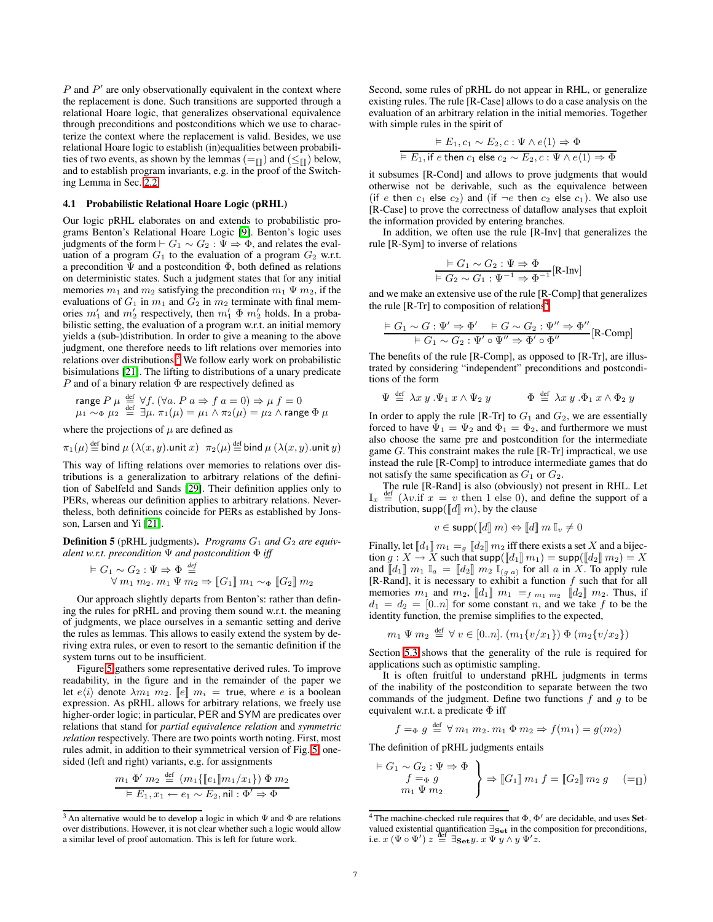$P$  and  $P'$  are only observationally equivalent in the context where the replacement is done. Such transitions are supported through a relational Hoare logic, that generalizes observational equivalence through preconditions and postconditions which we use to characterize the context where the replacement is valid. Besides, we use relational Hoare logic to establish (in)equalities between probabilities of two events, as shown by the lemmas (= $_{\text{[T]}}$ ) and ( $\leq_{\text{[T]}}$ ) below, and to establish program invariants, e.g. in the proof of the Switching Lemma in Sec. [2.2.](#page-2-2)

#### **4.1 Probabilistic Relational Hoare Logic (pRHL)**

Our logic pRHL elaborates on and extends to probabilistic programs Benton's Relational Hoare Logic [\[9\]](#page-11-11). Benton's logic uses judgments of the form  $\vdash G_1 \sim G_2 : \Psi \Rightarrow \Phi$ , and relates the evaluation of a program  $G_1$  to the evaluation of a program  $G_2$  w.r.t. a precondition  $\Psi$  and a postcondition  $\Phi$ , both defined as relations on deterministic states. Such a judgment states that for any initial memories  $m_1$  and  $m_2$  satisfying the precondition  $m_1 \Psi m_2$ , if the evaluations of  $G_1$  in  $m_1$  and  $G_2$  in  $m_2$  terminate with final memories  $m'_1$  and  $m'_2$  respectively, then  $m'_1 \Phi m'_2$  holds. In a probabilistic setting, the evaluation of a program w.r.t. an initial memory yields a (sub-)distribution. In order to give a meaning to the above judgment, one therefore needs to lift relations over memories into relations over distributions.<sup>[3](#page-6-0)</sup> We follow early work on probabilistic bisimulations [\[21\]](#page-11-12). The lifting to distributions of a unary predicate P and of a binary relation  $\Phi$  are respectively defined as

range 
$$
P \mu \stackrel{\text{def}}{=} \forall f. (\forall a. P \ a \Rightarrow f \ a = 0) \Rightarrow \mu f = 0
$$
  
 $\mu_1 \sim_{\Phi} \mu_2 \stackrel{\text{def}}{=} \exists \mu. \pi_1(\mu) = \mu_1 \wedge \pi_2(\mu) = \mu_2 \wedge \text{range } \Phi \mu$ 

where the projections of  $\mu$  are defined as

$$
\pi_1(\mu) \stackrel{\text{def}}{=} \text{bind } \mu\left(\lambda(x,y) . \text{unit } x\right) \enspace \pi_2(\mu) \stackrel{\text{def}}{=} \text{bind } \mu\left(\lambda(x,y) . \text{unit } y\right)
$$

This way of lifting relations over memories to relations over distributions is a generalization to arbitrary relations of the definition of Sabelfeld and Sands [\[29\]](#page-11-13). Their definition applies only to PERs, whereas our definition applies to arbitrary relations. Nevertheless, both definitions coincide for PERs as established by Jonsson, Larsen and Yi [\[21\]](#page-11-12).

**Definition 5** (pRHL judgments). *Programs*  $G_1$  *and*  $G_2$  *are equivalent w.r.t. precondition* Ψ *and postcondition* Φ *iff*

$$
\models G_1 \sim G_2 : \Psi \Rightarrow \Phi \stackrel{\text{def}}{=} \newline \forall m_1 m_2. m_1 \Psi m_2 \Rightarrow [[G_1]] m_1 \sim_{\Phi} [[G_2]] m_2
$$

Our approach slightly departs from Benton's: rather than defining the rules for pRHL and proving them sound w.r.t. the meaning of judgments, we place ourselves in a semantic setting and derive the rules as lemmas. This allows to easily extend the system by deriving extra rules, or even to resort to the semantic definition if the system turns out to be insufficient.

Figure [5](#page-7-1) gathers some representative derived rules. To improve readability, in the figure and in the remainder of the paper we let  $e\langle i \rangle$  denote  $\lambda m_1$   $m_2$ .  $\llbracket e \rrbracket m_i = \text{true}$ , where e is a boolean expression. As pRHL allows for arbitrary relations, we freely use higher-order logic; in particular, PER and SYM are predicates over relations that stand for *partial equivalence relation* and *symmetric relation* respectively. There are two points worth noting. First, most rules admit, in addition to their symmetrical version of Fig. [5,](#page-7-1) onesided (left and right) variants, e.g. for assignments

$$
\frac{m_1 \Phi' m_2 \stackrel{\text{def}}{=} (m_1 \{ [\![ e_1 ]\!] m_1 / x_1 \}) \Phi m_2}{\models E_1, x_1 \leftarrow e_1 \sim E_2, \text{nil} : \Phi' \Rightarrow \Phi}
$$

Second, some rules of pRHL do not appear in RHL, or generalize existing rules. The rule [R-Case] allows to do a case analysis on the evaluation of an arbitrary relation in the initial memories. Together with simple rules in the spirit of

$$
\vDash E_1, c_1 \sim E_2, c : \Psi \wedge e\langle 1 \rangle \Rightarrow \Phi
$$
  

$$
\vDash E_1, \text{if } e \text{ then } c_1 \text{ else } c_2 \sim E_2, c : \Psi \wedge e\langle 1 \rangle \Rightarrow \Phi
$$

it subsumes [R-Cond] and allows to prove judgments that would otherwise not be derivable, such as the equivalence between (if e then  $c_1$  else  $c_2$ ) and (if  $\neg e$  then  $c_2$  else  $c_1$ ). We also use [R-Case] to prove the correctness of dataflow analyses that exploit the information provided by entering branches.

In addition, we often use the rule [R-Inv] that generalizes the rule [R-Sym] to inverse of relations

$$
\frac{\vDash G_1 \sim G_2 : \Psi \Rightarrow \Phi}{\vDash G_2 \sim G_1 : \Psi^{-1} \Rightarrow \Phi^{-1}}[\text{R-Inv}]
$$

and we make an extensive use of the rule [R-Comp] that generalizes the rule  $[R-Tr]$  to composition of relations<sup>[4](#page-6-1)</sup>

$$
\frac{\vDash G_1 \sim G : \Psi' \Rightarrow \Phi' \quad \vDash G \sim G_2 : \Psi'' \Rightarrow \Phi''}{\vDash G_1 \sim G_2 : \Psi' \circ \Psi'' \Rightarrow \Phi' \circ \Phi''}[\text{R-Comp}]
$$

The benefits of the rule [R-Comp], as opposed to [R-Tr], are illustrated by considering "independent" preconditions and postconditions of the form

$$
\Psi \stackrel{\text{def}}{=} \lambda x y . \Psi_1 x \wedge \Psi_2 y \qquad \qquad \Phi \stackrel{\text{def}}{=} \lambda x y . \Phi_1 x \wedge \Phi_2 y
$$

In order to apply the rule [R-Tr] to  $G_1$  and  $G_2$ , we are essentially forced to have  $\Psi_1 = \Psi_2$  and  $\Phi_1 = \Phi_2$ , and furthermore we must also choose the same pre and postcondition for the intermediate game  $G$ . This constraint makes the rule  $[R-Tr]$  impractical, we use instead the rule [R-Comp] to introduce intermediate games that do not satisfy the same specification as  $G_1$  or  $G_2$ .

The rule [R-Rand] is also (obviously) not present in RHL. Let  $\mathbb{I}_x \stackrel{\text{def}}{=} (\lambda v \cdot \text{if } x = v \text{ then } 1 \text{ else } 0),$  and define the support of a distribution, supp( $\llbracket d \rrbracket m$ ), by the clause

$$
v \in \text{supp}([\![d]\!]) \, m) \Leftrightarrow [\![d]\!]) \, m \, \mathbb{I}_v \neq 0
$$

Finally, let  $\llbracket d_1 \rrbracket m_1 =_g \llbracket d_2 \rrbracket m_2$  iff there exists a set X and a bijection  $g: X \to \tilde{X}$  such that  $\text{supp}([\![d_1]\!]) m_1) = \text{supp}([\![d_2]\!]) m_2 = X$ and  $\llbracket d_1 \rrbracket m_1 \rrbracket_a = \llbracket d_2 \rrbracket m_2 \rrbracket_{(g, a)}$  for all a in X. To apply rule [R-Rand], it is necessary to exhibit a function  $f$  such that for all memories  $m_1$  and  $m_2$ ,  $\llbracket d_1 \rrbracket m_1 =_{f m_1 m_2} \llbracket d_2 \rrbracket m_2$ . Thus, if  $d_1 = d_2 = [0..n]$  for some constant n, and we take f to be the identity function, the premise simplifies to the expected,

$$
m_1 \Psi m_2 \stackrel{\text{def}}{=} \forall v \in [0..n]. (m_1 \{v/x_1\}) \Phi (m_2 \{v/x_2\})
$$

Section [5.3](#page-9-3) shows that the generality of the rule is required for applications such as optimistic sampling.

It is often fruitful to understand pRHL judgments in terms of the inability of the postcondition to separate between the two commands of the judgment. Define two functions  $f$  and  $g$  to be equivalent w.r.t. a predicate Φ iff

$$
f =_{\Phi} g \stackrel{\text{def}}{=} \forall m_1 m_2 \ldots m_1 \Phi m_2 \Rightarrow f(m_1) = g(m_2)
$$

The definition of pRHL judgments entails

$$
\begin{array}{c}\n\vdash G_1 \sim G_2 : \Psi \Rightarrow \Phi \\
f =_\Phi g \\
m_1 \Psi m_2\n\end{array}\n\right\} \Rightarrow \llbracket G_1 \rrbracket m_1 f = \llbracket G_2 \rrbracket m_2 g \quad (=_{\llbracket 1 \rrbracket})
$$

<span id="page-6-0"></span><sup>&</sup>lt;sup>3</sup> An alternative would be to develop a logic in which  $\Psi$  and  $\Phi$  are relations over distributions. However, it is not clear whether such a logic would allow a similar level of proof automation. This is left for future work.

<span id="page-6-1"></span><sup>&</sup>lt;sup>4</sup> The machine-checked rule requires that  $\Phi$ ,  $\Phi'$  are decidable, and uses **Set**valued existential quantification  $\exists_{\mathbf{Set}}$  in the composition for preconditions, i.e.  $x (\Psi \circ \Psi') \approx \frac{\det}{\Box} \exists_{\mathbf{Set}} y \colon x \Psi y \land y \Psi' z$ .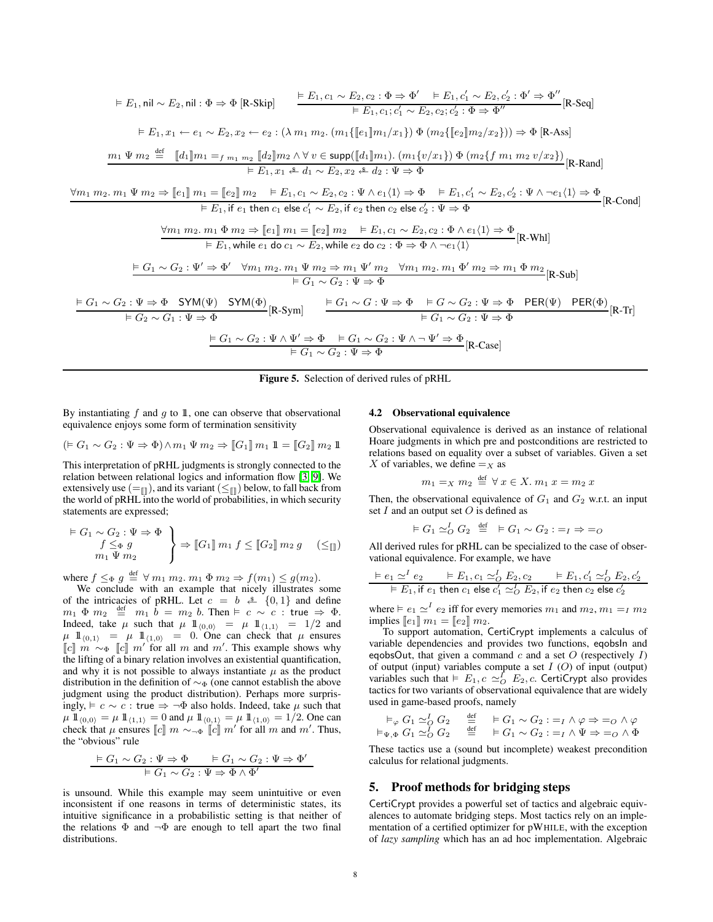$$
E_{11, \text{nil}} \sim E_{2, \text{nil}} : \Phi \Rightarrow \Phi \text{ [R-Skip]} \qquad \frac{E_{11, \text{cl}} \sim E_{21, \text{cl}} \sim E_{22, \text{cl}} : \Phi \Rightarrow \Phi' \quad E_{11, \text{cl}} \sim E_{22, \text{cl}} : \Phi' \Rightarrow \Phi'' \text{ [R-Seq]}
$$
  
\n
$$
E_{11, \text{rl}} \sim e_{1} \sim E_{22, \text{rl}} \sim e_{2} : (\lambda m_{1} m_{2}. (m_{1} \{ [e_{1} ] m_{1}/x_{1} \}) \Phi (m_{2} \{ [e_{2} ] m_{2}/x_{2} \})) \Rightarrow \Phi \text{ [R-Ass]}
$$
  
\n
$$
\frac{m_{1} \Psi m_{2} \stackrel{\text{def}}{=} [d_{1} ] m_{1} =_{f m_{1} m_{2}} [d_{2} ] m_{2} \land \forall v \in \text{supp}([d_{1} ] m_{1}). (m_{1} \{ v/x_{1} \}) \Phi (m_{2} \{ [e_{2} ] m_{2}/x_{2} \})) \Rightarrow \Phi \text{ [R-Ass]}
$$
  
\n
$$
\frac{m_{1} \Psi m_{2} \stackrel{\text{def}}{=} [d_{1} ] m_{1} =_{f m_{1} m_{2}} [d_{2} ] m_{2} \land \forall v \in \text{supp}([d_{1} ] m_{1}). (m_{1} \{ v/x_{1} \}) \Phi (m_{2} \{ f m_{1} m_{2} v/x_{2} \}) \text{ [R-Rand]}
$$
  
\n
$$
\frac{m_{1} m_{2}. m_{1} \Psi m_{2} \Rightarrow [e_{1} ] m_{1} = [e_{2} ] m_{2} \qquad E E_{11, \text{cl}} \sim E_{21, \text{cl}} : \Psi \Rightarrow \Phi \qquad E_{11, \text{cl}} \sim E_{21, \text{cl}} : \Psi \Rightarrow \Phi \qquad \frac{m_{1} m_{2}. m_{1} \Phi m_{2} \Rightarrow [e_{1} ] m_{1} = [e_{2} ] m_{2} \qquad E E_{11, \text{cl}} \sim E_{21, \text{cl}} : \Phi \Rightarrow \Phi \land \text{rel}(1) \Rightarrow \Phi \text{ [R-Wh]} }
$$
  
\n
$$
\frac{m_{1} m_{2}. m_{
$$

<span id="page-7-1"></span>**Figure 5.** Selection of derived rules of pRHL

By instantiating  $f$  and  $g$  to  $\mathbb{I}$ , one can observe that observational equivalence enjoys some form of termination sensitivity

$$
(\vDash G_1 \sim G_2 : \Psi \Rightarrow \Phi) \land m_1 \Psi m_2 \Rightarrow \llbracket G_1 \rrbracket m_1 \mathop{1\hskip-2.5pt \mathop{1\hskip-2.5pt \mathop{1\hskip-2.5pt \mathop{1\hskip-2.5pt \mathop{1\hskip-2.5pt \mathop{1\hskip-2.5pt \mathop{1\hskip-2.5pt \mathop{1\hskip-2.5pt \mathop{1\hskip-2.5pt \mathop{1\hskip-2.5pt \mathop{1\hskip-2.5pt \mathop{1\hskip-2.5pt \mathop{1\hskip-2.5pt \mathop{1\hskip-2.5pt \mathop{1\hskip-2.5pt \mathop{1\hskip-2.5pt \mathop{1\hskip-2.5pt \mathop{1\hskip-2.5pt \mathop{1\hskip-2.5pt \mathop{1\hskip-2.5pt \mathop{1\hskip-2.5pt \mathop{1\hskip-2.5pt \mathop{1\hskip-2.5pt \mathop{1\hskip-2.5pt \mathop{1\hskip-2.5pt \mathop{1\hskip-2.5pt \mathop{1\hskip-2.5pt \mathop{1\hskip-2.5pt \mathop{1\hskip-2.5pt \mathop{1\hskip-2.5pt \mathop{1\hskip-2.5pt \mathop{1\hskip-2.5pt \mathop{1\hskip-2.5pt \mathop{1\hskip-2.5pt \mathop{1\hskip-2.5pt \mathop{1\hskip-2.5pt \mathop{1\hskip-2.5pt \mathop{1\hskip-2.5pt \mathop{1\hskip-2.5pt \mathop{1\hskip-2.5pt \mathop{1\hskip-2.5pt \mathop{1\hskip-2.5pt \mathop{1\hskip-2.5pt \mathop{1\hskip-2.5pt \mathop{1\hskip-2.5pt \mathop{1\hskip-2.5pt \mathop{1\hskip-2.5pt \mathop{1\hskip-2.5pt \mathop{1\hskip-2.5pt \mathop{1\hskip-2.5pt \mathop{1\hskip-2.5pt \mathop{1\hskip-2.5pt \mathop{1\hskip-2.5pt \mathop{1\hskip-2.5pt \mathop{1\hskip-2.5
$$

This interpretation of pRHL judgments is strongly connected to the relation between relational logics and information flow [\[3,](#page-11-14) [9\]](#page-11-11). We extensively use  $(=_{\text{min}})$ , and its variant  $(\leq_{\text{min}})$  below, to fall back from the world of pRHL into the world of probabilities, in which security statements are expressed;

$$
\begin{array}{c}\n \vDash G_1 \sim G_2 : \Psi \Rightarrow \Phi \\
 f \leq_{\Phi} g \\
 m_1 \Psi m_2\n \end{array}\n \Rightarrow \n \begin{bmatrix}\n G_1 \parallel m_1 f \leq [G_2] \ m_2 g \quad (\leq_{\text{II}})\n \end{bmatrix}
$$

where  $f \leq_{\Phi} g \stackrel{\text{def}}{=} \forall m_1 m_2 \ldots m_1 \Phi m_2 \Rightarrow f(m_1) \leq g(m_2)$ .

We conclude with an example that nicely illustrates some of the intricacies of pRHL. Let  $c = b \leftarrow \{0, 1\}$  and define  $m_1 \Phi m_2 \stackrel{\text{def}}{=} m_1 \stackrel{\cdot}{b} = m_2 b$ . Then  $\models c \sim c$  : true  $\Rightarrow \Phi$ . Indeed, take  $\mu$  such that  $\mu$   $\mathbb{1}_{(0,0)} = \mu$   $\mathbb{1}_{(1,1)} = 1/2$  and  $\mu$   $1\!\!1_{(0,1)} = \mu$   $1\!\!1_{(1,0)} = 0$ . One can check that  $\mu$  ensures [c]  $m \sim_{\Phi}$  [c]  $m'$  for all  $m$  and  $m'$ . This example shows why the lifting of a binary relation involves an existential quantification, and why it is not possible to always instantiate  $\mu$  as the product distribution in the definition of  $\sim_{\Phi}$  (one cannot establish the above judgment using the product distribution). Perhaps more surprisingly,  $\models c \sim c$ : true  $⇒ \neg \Phi$  also holds. Indeed, take  $\mu$  such that  $\mu \mathbb{1}_{(0,0)} = \mu \mathbb{1}_{(1,1)} = 0$  and  $\mu \mathbb{1}_{(0,1)} = \mu \mathbb{1}_{(1,0)} = 1/2$ . One can check that  $\mu$  ensures  $\llbracket c \rrbracket m \sim_{\neg \Phi} [c \rrbracket m'$  for all m and m'. Thus, the "obvious" rule

$$
\frac{\vDash G_1 \sim G_2 : \Psi \Rightarrow \Phi \qquad \vDash G_1 \sim G_2 : \Psi \Rightarrow \Phi'}{\vDash G_1 \sim G_2 : \Psi \Rightarrow \Phi \wedge \Phi'}
$$

is unsound. While this example may seem unintuitive or even inconsistent if one reasons in terms of deterministic states, its intuitive significance in a probabilistic setting is that neither of the relations  $\Phi$  and  $\neg \Phi$  are enough to tell apart the two final distributions.

#### **4.2 Observational equivalence**

Observational equivalence is derived as an instance of relational Hoare judgments in which pre and postconditions are restricted to relations based on equality over a subset of variables. Given a set X of variables, we define  $=_X$  as

$$
m_1 =_X m_2 \stackrel{\text{def}}{=} \forall x \in X. m_1 x = m_2 x
$$

Then, the observational equivalence of  $G_1$  and  $G_2$  w.r.t. an input set  $I$  and an output set  $O$  is defined as

$$
\models G_1 \simeq^I_O G_2 \stackrel{\text{def}}{=} \models G_1 \sim G_2 : =_I \Rightarrow =_O
$$

All derived rules for pRHL can be specialized to the case of observational equivalence. For example, we have

$$
\frac{\vDash e_1 \simeq^I e_2 \qquad \vDash E_1, c_1 \simeq^I_O E_2, c_2 \qquad \vDash E_1, c'_1 \simeq^I_O E_2, c'_2} {\vDash E_1, \text{if } e_1 \text{ then } c_1 \text{ else } c'_1 \simeq^I_O E_2, \text{if } e_2 \text{ then } c_2 \text{ else } c'_2}
$$

where  $\models e_1 \simeq^I e_2$  iff for every memories  $m_1$  and  $m_2$ ,  $m_1 =_I m_2$ implies  $\llbracket e_1 \rrbracket m_1 = \llbracket e_2 \rrbracket m_2$ .

To support automation, CertiCrypt implements a calculus of variable dependencies and provides two functions, eqobsIn and eqobsOut, that given a command  $c$  and a set  $O$  (respectively  $I$ ) of output (input) variables compute a set  $I(O)$  of input (output) variables such that  $\models E_1, c \simeq_0^f E_2, c$ . CertiCrypt also provides tactics for two variants of observational equivalence that are widely used in game-based proofs, namely

$$
\vDash_{\varphi} G_1 \sim_{O}^{I} G_2 \stackrel{\text{def}}{=} \vDash G_1 \sim G_2 :=_I \wedge \varphi \Rightarrow =_O \wedge \varphi
$$
  
\n
$$
\vDash_{\Psi, \Phi} G_1 \sim_{O}^{I} G_2 \stackrel{\text{def}}{=} \vDash G_1 \sim G_2 :=_I \wedge \Psi \Rightarrow =_O \wedge \Phi
$$

These tactics use a (sound but incomplete) weakest precondition calculus for relational judgments.

## <span id="page-7-0"></span>**5. Proof methods for bridging steps**

CertiCrypt provides a powerful set of tactics and algebraic equivalences to automate bridging steps. Most tactics rely on an implementation of a certified optimizer for pWHILE, with the exception of *lazy sampling* which has an ad hoc implementation. Algebraic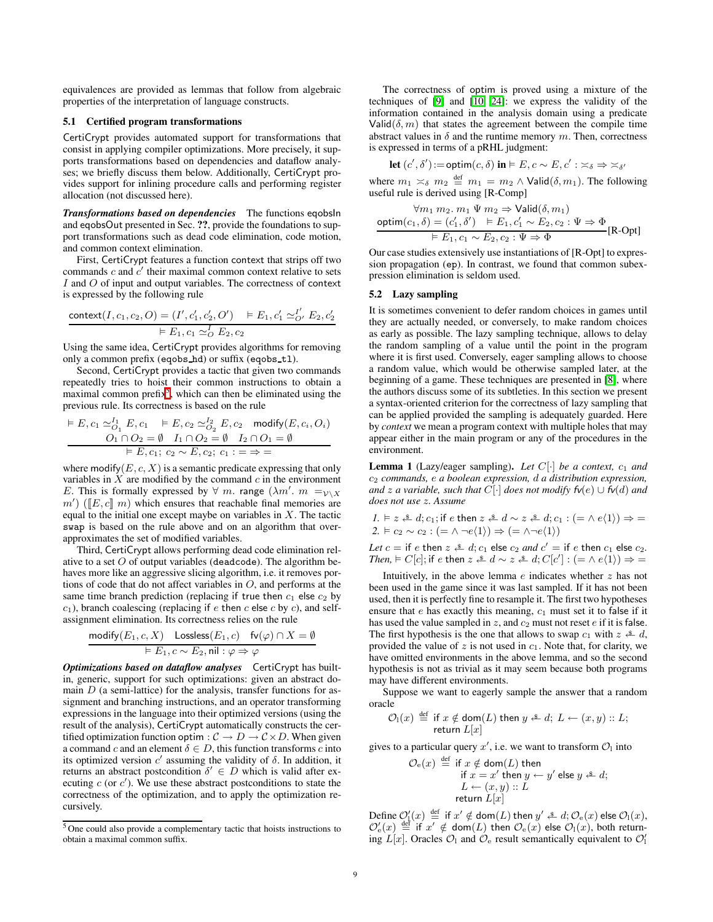equivalences are provided as lemmas that follow from algebraic properties of the interpretation of language constructs.

#### **5.1 Certified program transformations**

CertiCrypt provides automated support for transformations that consist in applying compiler optimizations. More precisely, it supports transformations based on dependencies and dataflow analyses; we briefly discuss them below. Additionally, CertiCrypt provides support for inlining procedure calls and performing register allocation (not discussed here).

*Transformations based on dependencies* The functions eqobsIn and eqobsOut presented in Sec. **??**, provide the foundations to support transformations such as dead code elimination, code motion, and common context elimination.

First, CertiCrypt features a function context that strips off two commands  $c$  and  $c'$  their maximal common context relative to sets  $I$  and  $O$  of input and output variables. The correctness of context is expressed by the following rule

$$
\frac{\text{context}(I, c_1, c_2, O) = (I', c'_1, c'_2, O') \quad \vDash E_1, c'_1 \simeq_{O'}^{I'} E_2, c'_2}{\vDash E_1, c_1 \simeq_{O'}^{I} E_2, c_2}
$$

Using the same idea, CertiCrypt provides algorithms for removing only a common prefix (eqobs\_hd) or suffix (eqobs\_tl).

Second, CertiCrypt provides a tactic that given two commands repeatedly tries to hoist their common instructions to obtain a maximal common prefix<sup>[5](#page-8-2)</sup>, which can then be eliminated using the previous rule. Its correctness is based on the rule

$$
\vdash E, c_1 \simeq_{O_1}^{I_1} E, c_1 \models E, c_2 \simeq_{O_2}^{I_2} E, c_2 \text{ modify}(E, c_i, O_i)
$$
  

$$
\begin{array}{c} O_1 \cap O_2 = \emptyset & I_1 \cap O_2 = \emptyset & I_2 \cap O_1 = \emptyset \\ \models E, c_1; \ c_2 \sim E, c_2; \ c_1 := \Rightarrow = \end{array}
$$

where modify( $E, c, X$ ) is a semantic predicate expressing that only variables in  $X$  are modified by the command  $c$  in the environment E. This is formally expressed by  $\forall$  m. range  $(\lambda m'. m =_{\mathcal{V}\setminus X})$  $m'$ ) ( $\llbracket E, c \rrbracket$  m) which ensures that reachable final memories are equal to the initial one except maybe on variables in  $X$ . The tactic swap is based on the rule above and on an algorithm that overapproximates the set of modified variables.

Third, CertiCrypt allows performing dead code elimination relative to a set  $O$  of output variables (deadcode). The algorithm behaves more like an aggressive slicing algorithm, i.e. it removes portions of code that do not affect variables in O, and performs at the same time branch prediction (replacing if true then  $c_1$  else  $c_2$  by  $c_1$ ), branch coalescing (replacing if e then c else c by c), and selfassignment elimination. Its correctness relies on the rule

$$
\frac{\text{modify}(E_1, c, X) \quad \text{Lossless}(E_1, c) \quad \text{fv}(\varphi) \cap X = \emptyset}{\models E_1, c \sim E_2, \text{nil}: \varphi \Rightarrow \varphi}
$$

*Optimizations based on dataflow analyses* CertiCrypt has builtin, generic, support for such optimizations: given an abstract domain  $D$  (a semi-lattice) for the analysis, transfer functions for assignment and branching instructions, and an operator transforming expressions in the language into their optimized versions (using the result of the analysis), CertiCrypt automatically constructs the certified optimization function optim :  $C \rightarrow D \rightarrow C \times D$ . When given a command c and an element  $\delta \in D$ , this function transforms c into its optimized version  $c'$  assuming the validity of  $\delta$ . In addition, it returns an abstract postcondition  $\delta' \in D$  which is valid after executing  $c$  (or  $c'$ ). We use these abstract postconditions to state the correctness of the optimization, and to apply the optimization recursively.

The correctness of optim is proved using a mixture of the techniques of [\[9\]](#page-11-11) and [\[10,](#page-11-15) [24\]](#page-11-16): we express the validity of the information contained in the analysis domain using a predicate Valid $(\delta, m)$  that states the agreement between the compile time abstract values in  $\delta$  and the runtime memory  $m$ . Then, correctness is expressed in terms of a pRHL judgment:

Let 
$$
(c', \delta') := \text{optim}(c, \delta)
$$
 in  $\vDash E, c \sim E, c' : \preceq_{\delta} \Rightarrow \preceq_{\delta'}$ 

where  $m_1 \asymp_{\delta} m_2 \stackrel{\text{def}}{=} m_1 = m_2 \wedge \text{Valid}(\delta, m_1)$ . The following useful rule is derived using [R-Comp]

$$
\forall m_1 m_2. m_1 \Psi m_2 \Rightarrow \text{Valid}(\delta, m_1)
$$
\n
$$
\begin{array}{ll}\n\text{optim}(c_1, \delta) = (c'_1, \delta') & \models E_1, c'_1 \sim E_2, c_2 : \Psi \Rightarrow \Phi \\
& \models E_1, c_1 \sim E_2, c_2 : \Psi \Rightarrow \Phi\n\end{array} \quad [\text{R-Opt}]
$$

Our case studies extensively use instantiations of [R-Opt] to expression propagation (ep). In contrast, we found that common subexpression elimination is seldom used.

#### <span id="page-8-1"></span>**5.2 Lazy sampling**

It is sometimes convenient to defer random choices in games until they are actually needed, or conversely, to make random choices as early as possible. The lazy sampling technique, allows to delay the random sampling of a value until the point in the program where it is first used. Conversely, eager sampling allows to choose a random value, which would be otherwise sampled later, at the beginning of a game. These techniques are presented in [\[8\]](#page-11-3), where the authors discuss some of its subtleties. In this section we present a syntax-oriented criterion for the correctness of lazy sampling that can be applied provided the sampling is adequately guarded. Here by *context* we mean a program context with multiple holes that may appear either in the main program or any of the procedures in the environment.

<span id="page-8-0"></span>**Lemma 1** (Lazy/eager sampling). Let  $C[\cdot]$  be a context,  $c_1$  and c<sup>2</sup> *commands,* e *a boolean expression,* d *a distribution expression, and* z *a* variable, such that  $C[\cdot]$  *does not modify*  $f\nu(e) \cup f\nu(d)$  *and does not use* z*. Assume*

*I.* 
$$
\vDash z \stackrel{\$}{\leftarrow} d
$$
; *c*<sub>1</sub>; if *e* then  $z \stackrel{\$}{\leftarrow} d \sim z \stackrel{\$}{\leftarrow} d$ ; *c*<sub>1</sub> :  $(= \wedge e(1)) \Rightarrow =$   
2.  $\vDash c_2 \sim c_2 : (= \wedge \neg e(1)) \Rightarrow (= \wedge \neg e(1))$ 

*Let*  $c =$  if  $e$  then  $z \triangleq d$ ;  $c_1$  else  $c_2$  *and*  $c' =$  if  $e$  then  $c_1$  else  $c_2$ . *Then,*  $\vdash C[c]$ ; if e then  $z \triangleq d \sim z \triangleq d$ ;  $C[c']$  :  $(= \land e\langle 1 \rangle) \Rightarrow$ 

Intuitively, in the above lemma  $e$  indicates whether  $z$  has not been used in the game since it was last sampled. If it has not been used, then it is perfectly fine to resample it. The first two hypotheses ensure that  $e$  has exactly this meaning,  $c_1$  must set it to false if it has used the value sampled in z, and  $c_2$  must not reset e if it is false. The first hypothesis is the one that allows to swap  $c_1$  with  $z \triangleleft d$ , provided the value of  $z$  is not used in  $c_1$ . Note that, for clarity, we have omitted environments in the above lemma, and so the second hypothesis is not as trivial as it may seem because both programs may have different environments.

Suppose we want to eagerly sample the answer that a random oracle

$$
\mathcal{O}_1(x) \stackrel{\text{def}}{=} \text{if } x \notin \text{dom}(L) \text{ then } y \triangleq d; \ L \leftarrow (x, y) :: L;
$$
  
return  $L[x]$ 

gives to a particular query  $x'$ , i.e. we want to transform  $\mathcal{O}_1$  into

$$
\mathcal{O}_e(x) \stackrel{\text{def}}{=} \text{ if } x \notin \text{dom}(L) \text{ then}
$$
  
if  $x = x'$  then  $y \leftarrow y'$  else  $y \stackrel{\$}{\cdot} d$ ;  
 $L \leftarrow (x, y) :: L$   
return  $L[x]$ 

Define  $\mathcal{O}'_1(x) \stackrel{\text{def}}{=} \text{ if } x' \notin \textsf{dom}(L) \text{ then } y' \triangleq d; \mathcal{O}_\text{e}(x) \text{ else } \mathcal{O}_\text{l}(x),$  $\mathcal{O}'_e(x) \stackrel{\text{def}}{=} \text{if } x' \notin \text{dom}(L) \text{ then } \mathcal{O}_e(x) \text{ else } \mathcal{O}_1(x) \text{, both return-}$ ing  $L[x]$ . Oracles  $\mathcal{O}_1$  and  $\mathcal{O}_e$  result semantically equivalent to  $\mathcal{O}'_1$ 

<span id="page-8-2"></span><sup>5</sup> One could also provide a complementary tactic that hoists instructions to obtain a maximal common suffix.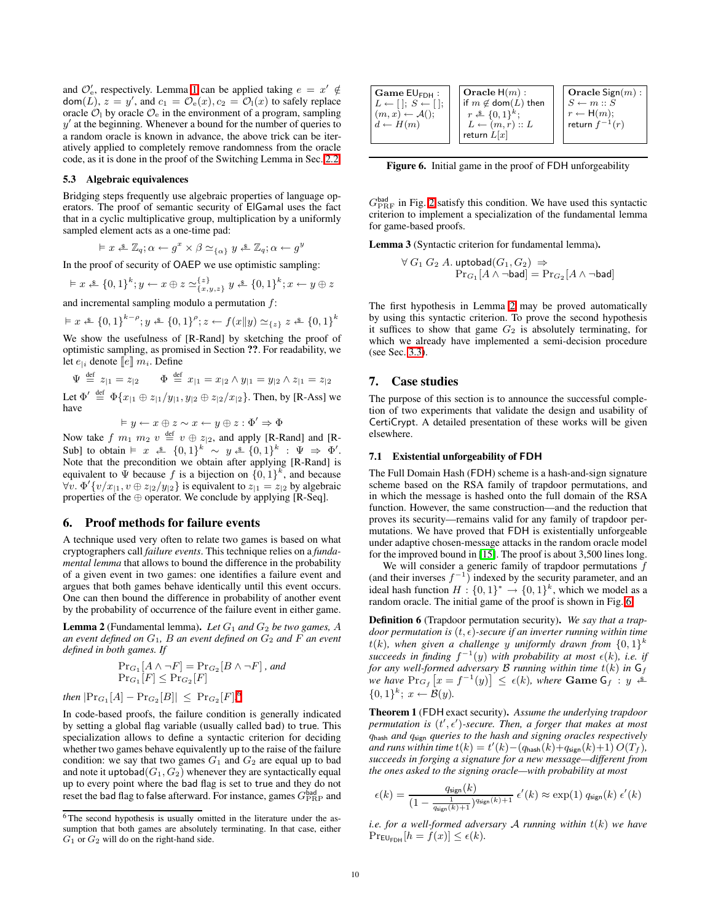and  $\mathcal{O}'_e$ , respectively. Lemma [1](#page-8-0) can be applied taking  $e = x' \notin$ dom $(\overline{L})$ ,  $z = y'$ , and  $c_1 = \mathcal{O}_e(x)$ ,  $c_2 = \mathcal{O}_1(x)$  to safely replace oracle  $\mathcal{O}_1$  by oracle  $\mathcal{O}_e$  in the environment of a program, sampling  $y'$  at the beginning. Whenever a bound for the number of queries to a random oracle is known in advance, the above trick can be iteratively applied to completely remove randomness from the oracle code, as it is done in the proof of the Switching Lemma in Sec. [2.2.](#page-2-2)

## <span id="page-9-3"></span>**5.3 Algebraic equivalences**

Bridging steps frequently use algebraic properties of language operators. The proof of semantic security of ElGamal uses the fact that in a cyclic multiplicative group, multiplication by a uniformly sampled element acts as a one-time pad:

$$
\vDash x \xleftarrow{\$} \mathbb{Z}_{q}; \alpha \leftarrow g^{x} \times \beta \simeq_{\{\alpha\}} y \xleftarrow{\$} \mathbb{Z}_{q}; \alpha \leftarrow g^{y}
$$

In the proof of security of OAEP we use optimistic sampling:

$$
\vDash x \xleftarrow{\$} \{0,1\}^{k}; y \leftarrow x \oplus z \simeq \{z\}^{z\}}_{x,y,z} y \xleftarrow{\$} \{0,1\}^{k}; x \leftarrow y \oplus z
$$

and incremental sampling modulo a permutation  $f$ :

$$
\vDash x \stackrel{\hspace{0.1em}\mathsf{\scriptscriptstyle\$}}{=} \{0,1\}^{k-\rho}; y \stackrel{\hspace{0.1em}\mathsf{\scriptscriptstyle\$}}{=} \{0,1\}^{\rho}; z \leftarrow f(x \| y) \simeq_{\{z\}} z \stackrel{\hspace{0.1em}\mathsf{\scriptscriptstyle\$}}{=} \{0,1\}^k
$$

We show the usefulness of [R-Rand] by sketching the proof of optimistic sampling, as promised in Section **??**. For readability, we let  $e_{i}$  denote  $\llbracket e \rrbracket m_i$ . Define

 $\Psi \stackrel{\text{def}}{=} z_{11} = z_{12}$   $\Phi \stackrel{\text{def}}{=} x_{11} = x_{12} \wedge y_{11} = y_{12} \wedge z_{11} = z_{12}$ Let  $\Phi' \stackrel{\text{def}}{=} \Phi\{x_{11} \oplus z_{11}/y_{11}, y_{12} \oplus z_{12}/x_{12}\}$ . Then, by [R-Ass] we have

$$
\vDash y \leftarrow x \oplus z \sim x \leftarrow y \oplus z : \Phi' \Rightarrow \Phi
$$

Now take  $f$   $m_1$   $m_2$   $v \stackrel{\text{def}}{=} v \oplus z_{|2}$ , and apply [R-Rand] and [R-Sub] to obtain  $\models x \in \{0,1\}^k \sim y \in \{0,1\}^k : \Psi \Rightarrow \Phi'.$ Note that the precondition we obtain after applying [R-Rand] is equivalent to  $\overline{\Psi}$  because f is a bijection on  $\{0,1\}^k$ , and because  $\forall v$ .  $\Phi' \{v/x_{1}, v \oplus z_{12}/y_{12}\}$  is equivalent to  $z_{11} = z_{12}$  by algebraic properties of the ⊕ operator. We conclude by applying [R-Seq].

# <span id="page-9-0"></span>**6. Proof methods for failure events**

A technique used very often to relate two games is based on what cryptographers call *failure events*. This technique relies on a *fundamental lemma* that allows to bound the difference in the probability of a given event in two games: one identifies a failure event and argues that both games behave identically until this event occurs. One can then bound the difference in probability of another event by the probability of occurrence of the failure event in either game.

<span id="page-9-2"></span>**Lemma 2** (Fundamental lemma). Let  $G_1$  and  $G_2$  be two games, A *an event defined on*  $G_1$ ,  $B$  *an event defined on*  $G_2$  *and*  $F$  *an event defined in both games. If*

$$
\Pr_{G_1}[A \wedge \neg F] = \Pr_{G_2}[B \wedge \neg F], \text{ and }
$$
  

$$
\Pr_{G_1}[F] \leq \Pr_{G_2}[F]
$$

 $\lvert \text{ then } \lvert \text{Pr}_{G_1}[A] - \text{Pr}_{G_2}[B] \rvert \ \leq \ \text{Pr}_{G_2}[F]$ .<sup>[6](#page-9-4)</sup>

In code-based proofs, the failure condition is generally indicated by setting a global flag variable (usually called bad) to true. This specialization allows to define a syntactic criterion for deciding whether two games behave equivalently up to the raise of the failure condition: we say that two games  $G_1$  and  $G_2$  are equal up to bad and note it uptobad $(G_1, G_2)$  whenever they are syntactically equal up to every point where the bad flag is set to true and they do not reset the bad flag to false afterward. For instance, games  $G_{\rm PRP}^{\rm bad}$  and

$$
\begin{array}{c|c|c} \hline \textbf{Game EUFDH}: & \textbf{Oracle H}(m): & \textbf{Oracle Sign}(m): \\ \hline L \leftarrow [~] ;~ S \leftarrow [~] ; & \text{if}~m \not\in \text{dom}(L)~\text{then} & S \leftarrow m::S \\ (m,x) \leftarrow \mathcal{A}(); & r \overset{\$}{\twoheadleftarrow} \{0,1\}^k; & r \leftarrow \textbf{H}(m); \\ L \leftarrow (m,r): : L & \textbf{return}~ f^{-1}(r) \\ & \textbf{return}~ L[x] & \end{array}
$$

<span id="page-9-5"></span>**Figure 6.** Initial game in the proof of FDH unforgeability

 $G_{\rm PRF}^{\rm bad}$  in Fig. [2](#page-3-1) satisfy this condition. We have used this syntactic criterion to implement a specialization of the fundamental lemma for game-based proofs.

**Lemma 3** (Syntactic criterion for fundamental lemma)**.**

$$
\forall G_1 G_2 A. \mathsf{uptobad}(G_1, G_2) \Rightarrow
$$

$$
\Pr_{G_1}[A \land \neg \mathsf{bad}] = \Pr_{G_2}[A \land \neg \mathsf{bad}]
$$

The first hypothesis in Lemma [2](#page-9-2) may be proved automatically by using this syntactic criterion. To prove the second hypothesis it suffices to show that game  $G_2$  is absolutely terminating, for which we already have implemented a semi-decision procedure (see Sec. [3.3\)](#page-4-0).

# <span id="page-9-1"></span>**7. Case studies**

The purpose of this section is to announce the successful completion of two experiments that validate the design and usability of CertiCrypt. A detailed presentation of these works will be given elsewhere.

#### <span id="page-9-7"></span>**7.1 Existential unforgeability of** FDH

The Full Domain Hash (FDH) scheme is a hash-and-sign signature scheme based on the RSA family of trapdoor permutations, and in which the message is hashed onto the full domain of the RSA function. However, the same construction—and the reduction that proves its security—remains valid for any family of trapdoor permutations. We have proved that FDH is existentially unforgeable under adaptive chosen-message attacks in the random oracle model for the improved bound in [\[15\]](#page-11-17). The proof is about 3,500 lines long.

We will consider a generic family of trapdoor permutations  $f$ (and their inverses  $f^{-1}$ ) indexed by the security parameter, and an ideal hash function  $H: \{0,1\}^* \to \{0,1\}^k$ , which we model as a random oracle. The initial game of the proof is shown in Fig. [6.](#page-9-5)

<span id="page-9-6"></span>**Definition 6** (Trapdoor permutation security)**.** *We say that a trapdoor permutation is*  $(t, \epsilon)$ -secure if an inverter running within time  $t(k)$ , when given a challenge y uniformly drawn from  $\{0,1\}^k$ *succeeds in finding*  $f^{-1}(y)$  *with probability at most*  $\epsilon(k)$ *, i.e. if for any well-formed adversary B running within time*  $t(k)$  *in*  $\mathsf{G}_f$ *we have*  $\Pr_{G_f}[x = f^{-1}(y)] \leq \epsilon(k)$ , where **Game**  $G_f : y \triangleq$  $\{0,1\}^k$ ;  $x \leftarrow \mathcal{B}(y)$ .

**Theorem 1** (FDH exact security)**.** *Assume the underlying trapdoor*  $permutation$  is  $(t', \epsilon')$ -secure. Then, a forger that makes at most qhash *and* qsign *queries to the hash and signing oracles respectively* and runs within time  $t(k) = t'(k) - (q_{\text{hash}}(k) + q_{\text{sign}}(k) + 1) O(T_f)$ , *succeeds in forging a signature for a new message—different from the ones asked to the signing oracle—with probability at most*

$$
\epsilon(k) = \frac{q_{\text{sign}}(k)}{(1 - \frac{1}{q_{\text{sign}}(k) + 1})^{q_{\text{sign}}(k) + 1}} \epsilon'(k) \approx \exp(1) q_{\text{sign}}(k) \epsilon'(k)
$$

*i.e. for a well-formed adversary* A *running within* t(k) *we have*  $Pr_{\text{EU}_{\text{FDH}}}[h = f(x)] \leq \epsilon(k).$ 

<span id="page-9-4"></span><sup>6</sup> The second hypothesis is usually omitted in the literature under the assumption that both games are absolutely terminating. In that case, either  $G_1$  or  $G_2$  will do on the right-hand side.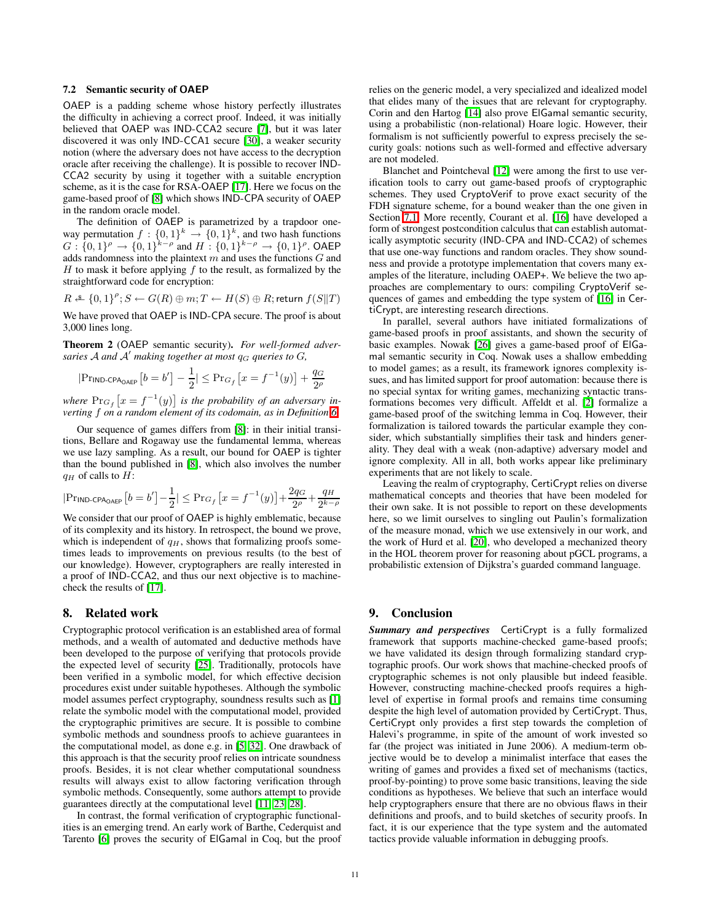# <span id="page-10-0"></span>**7.2 Semantic security of** OAEP

OAEP is a padding scheme whose history perfectly illustrates the difficulty in achieving a correct proof. Indeed, it was initially believed that OAEP was IND-CCA2 secure [\[7\]](#page-11-18), but it was later discovered it was only IND-CCA1 secure [\[30\]](#page-11-2), a weaker security notion (where the adversary does not have access to the decryption oracle after receiving the challenge). It is possible to recover IND-CCA2 security by using it together with a suitable encryption scheme, as it is the case for RSA-OAEP [\[17\]](#page-11-19). Here we focus on the game-based proof of [\[8\]](#page-11-3) which shows IND-CPA security of OAEP in the random oracle model.

The definition of OAEP is parametrized by a trapdoor oneway permutation  $f: \{0,1\}^k \rightarrow \{0,1\}^k$ , and two hash functions  $G: \{0,1\}^{\rho} \to \{0,1\}^{k-\rho}$  and  $H: \{0,1\}^{k-\rho} \to \{0,1\}^{\rho}$ . OAEP adds randomness into the plaintext  $m$  and uses the functions  $G$  and  $H$  to mask it before applying  $f$  to the result, as formalized by the straightforward code for encryption:

$$
R \triangleq \{0,1\}^{\rho}; S \leftarrow G(R) \oplus m; T \leftarrow H(S) \oplus R; \text{return } f(S||T)
$$

We have proved that OAEP is IND-CPA secure. The proof is about 3,000 lines long.

**Theorem 2** (OAEP semantic security)**.** *For well-formed adversaries* A *and* A ′ *making together at most* q<sup>G</sup> *queries to* G*,*

$$
|\mathrm{Pr}_{\mathsf{IND}\text{-}\mathsf{CPA}_{\mathsf{OAEP}}}\big[b=b'\big]-\frac{1}{2}|\leq \mathrm{Pr}_{G_f}\big[x=f^{-1}(y)\big]+\frac{q_G}{2^\rho}
$$

where  $Pr_{G_f}[x = f^{-1}(y)]$  is the probability of an adversary in*verting* f *on a random element of its codomain, as in Definition [6.](#page-9-6)*

Our sequence of games differs from [\[8\]](#page-11-3): in their initial transitions, Bellare and Rogaway use the fundamental lemma, whereas we use lazy sampling. As a result, our bound for OAEP is tighter than the bound published in [\[8\]](#page-11-3), which also involves the number  $q_H$  of calls to  $H$ :

$$
|\mathrm{Pr}_{\mathsf{IND}\text{-}\mathsf{CPA}_{\mathsf{OAEP}}}\big[b=b'\big]\!-\!\frac{1}{2}|\leq \mathrm{Pr}_{G_f}\big[x=f^{-1}(y)\big]\!+\!\frac{2q_G}{2^{\rho}}\!+\!\frac{q_H}{2^{k-\rho}}
$$

We consider that our proof of OAEP is highly emblematic, because of its complexity and its history. In retrospect, the bound we prove, which is independent of  $q_H$ , shows that formalizing proofs sometimes leads to improvements on previous results (to the best of our knowledge). However, cryptographers are really interested in a proof of IND-CCA2, and thus our next objective is to machine-check the results of [\[17\]](#page-11-19).

## **8. Related work**

Cryptographic protocol verification is an established area of formal methods, and a wealth of automated and deductive methods have been developed to the purpose of verifying that protocols provide the expected level of security [\[25\]](#page-11-20). Traditionally, protocols have been verified in a symbolic model, for which effective decision procedures exist under suitable hypotheses. Although the symbolic model assumes perfect cryptography, soundness results such as [\[1\]](#page-11-21) relate the symbolic model with the computational model, provided the cryptographic primitives are secure. It is possible to combine symbolic methods and soundness proofs to achieve guarantees in the computational model, as done e.g. in [\[5,](#page-11-22) [32\]](#page-11-23). One drawback of this approach is that the security proof relies on intricate soundness proofs. Besides, it is not clear whether computational soundness results will always exist to allow factoring verification through symbolic methods. Consequently, some authors attempt to provide guarantees directly at the computational level [\[11,](#page-11-24) [23,](#page-11-25) [28\]](#page-11-26).

In contrast, the formal verification of cryptographic functionalities is an emerging trend. An early work of Barthe, Cederquist and Tarento [\[6\]](#page-11-27) proves the security of ElGamal in Coq, but the proof relies on the generic model, a very specialized and idealized model that elides many of the issues that are relevant for cryptography. Corin and den Hartog [\[14\]](#page-11-28) also prove ElGamal semantic security, using a probabilistic (non-relational) Hoare logic. However, their formalism is not sufficiently powerful to express precisely the security goals: notions such as well-formed and effective adversary are not modeled.

Blanchet and Pointcheval [\[12\]](#page-11-29) were among the first to use verification tools to carry out game-based proofs of cryptographic schemes. They used CryptoVerif to prove exact security of the FDH signature scheme, for a bound weaker than the one given in Section [7.1.](#page-9-7) More recently, Courant et al. [\[16\]](#page-11-30) have developed a form of strongest postcondition calculus that can establish automatically asymptotic security (IND-CPA and IND-CCA2) of schemes that use one-way functions and random oracles. They show soundness and provide a prototype implementation that covers many examples of the literature, including OAEP+. We believe the two approaches are complementary to ours: compiling CryptoVerif sequences of games and embedding the type system of [\[16\]](#page-11-30) in CertiCrypt, are interesting research directions.

In parallel, several authors have initiated formalizations of game-based proofs in proof assistants, and shown the security of basic examples. Nowak [\[26\]](#page-11-31) gives a game-based proof of ElGamal semantic security in Coq. Nowak uses a shallow embedding to model games; as a result, its framework ignores complexity issues, and has limited support for proof automation: because there is no special syntax for writing games, mechanizing syntactic transformations becomes very difficult. Affeldt et al. [\[2\]](#page-11-32) formalize a game-based proof of the switching lemma in Coq. However, their formalization is tailored towards the particular example they consider, which substantially simplifies their task and hinders generality. They deal with a weak (non-adaptive) adversary model and ignore complexity. All in all, both works appear like preliminary experiments that are not likely to scale.

Leaving the realm of cryptography, CertiCrypt relies on diverse mathematical concepts and theories that have been modeled for their own sake. It is not possible to report on these developments here, so we limit ourselves to singling out Paulin's formalization of the measure monad, which we use extensively in our work, and the work of Hurd et al. [\[20\]](#page-11-33), who developed a mechanized theory in the HOL theorem prover for reasoning about pGCL programs, a probabilistic extension of Dijkstra's guarded command language.

# **9. Conclusion**

*Summary and perspectives* CertiCrypt is a fully formalized framework that supports machine-checked game-based proofs; we have validated its design through formalizing standard cryptographic proofs. Our work shows that machine-checked proofs of cryptographic schemes is not only plausible but indeed feasible. However, constructing machine-checked proofs requires a highlevel of expertise in formal proofs and remains time consuming despite the high level of automation provided by CertiCrypt. Thus, CertiCrypt only provides a first step towards the completion of Halevi's programme, in spite of the amount of work invested so far (the project was initiated in June 2006). A medium-term objective would be to develop a minimalist interface that eases the writing of games and provides a fixed set of mechanisms (tactics, proof-by-pointing) to prove some basic transitions, leaving the side conditions as hypotheses. We believe that such an interface would help cryptographers ensure that there are no obvious flaws in their definitions and proofs, and to build sketches of security proofs. In fact, it is our experience that the type system and the automated tactics provide valuable information in debugging proofs.